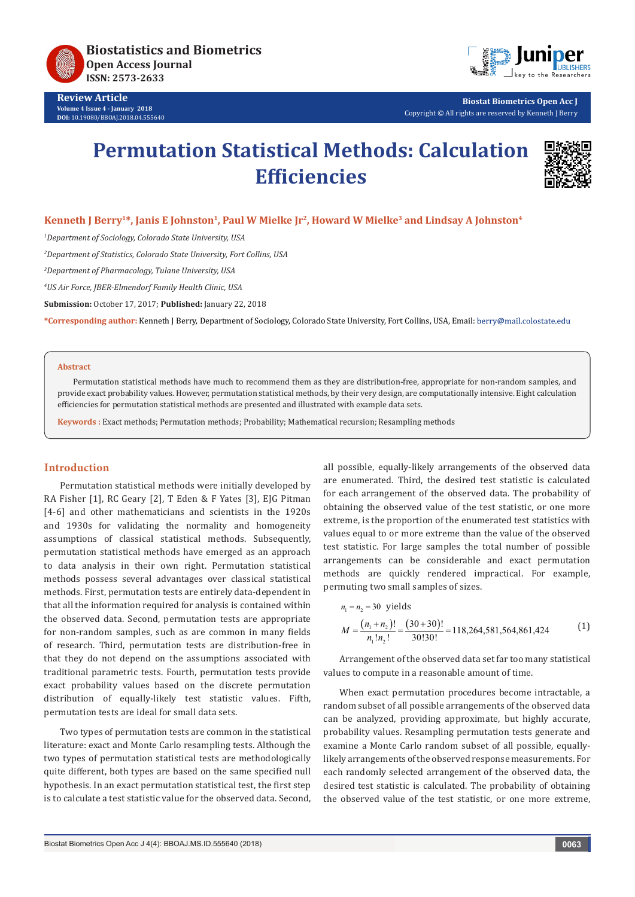

**Review Article Volume 4 Issue 4 - January 2018 DOI:** [10.19080/BBOAJ.2018.04.555640](http://dx.doi.org/10.19080/BBOAJ.2017.04.555640)



**Biostat Biometrics Open Acc J** Copyright © All rights are reserved by Kenneth J Berry

# **Permutation Statistical Methods: Calculation Efficiencies**



## Kenneth J Berry<sup>1\*</sup>, Janis E Johnston<sup>1</sup>, Paul W Mielke Jr<sup>2</sup>, Howard W Mielke<sup>3</sup> and Lindsay A Johnston<sup>4</sup>

*1 Department of Sociology, Colorado State University, USA*

*2 Department of Statistics, Colorado State University, Fort Collins, USA*

*3 Department of Pharmacology, Tulane University, USA*

*4 US Air Force, JBER-Elmendorf Family Health Clinic, USA*

**Submission:** October 17, 2017; **Published:** January 22, 2018

**\*Corresponding author:** Kenneth J Berry, Department of Sociology, Colorado State University, Fort Collins, USA, Email:

#### **Abstract**

Permutation statistical methods have much to recommend them as they are distribution-free, appropriate for non-random samples, and provide exact probability values. However, permutation statistical methods, by their very design, are computationally intensive. Eight calculation efficiencies for permutation statistical methods are presented and illustrated with example data sets.

**Keywords :** Exact methods; Permutation methods; Probability; Mathematical recursion; Resampling methods

## **Introduction**

Permutation statistical methods were initially developed by RA Fisher [1], RC Geary [2], T Eden & F Yates [3], EJG Pitman [4-6] and other mathematicians and scientists in the 1920s and 1930s for validating the normality and homogeneity assumptions of classical statistical methods. Subsequently, permutation statistical methods have emerged as an approach to data analysis in their own right. Permutation statistical methods possess several advantages over classical statistical methods. First, permutation tests are entirely data-dependent in that all the information required for analysis is contained within the observed data. Second, permutation tests are appropriate for non-random samples, such as are common in many fields of research. Third, permutation tests are distribution-free in that they do not depend on the assumptions associated with traditional parametric tests. Fourth, permutation tests provide exact probability values based on the discrete permutation distribution of equally-likely test statistic values. Fifth, permutation tests are ideal for small data sets.

Two types of permutation tests are common in the statistical literature: exact and Monte Carlo resampling tests. Although the two types of permutation statistical tests are methodologically quite different, both types are based on the same specified null hypothesis. In an exact permutation statistical test, the first step is to calculate a test statistic value for the observed data. Second, all possible, equally-likely arrangements of the observed data are enumerated. Third, the desired test statistic is calculated for each arrangement of the observed data. The probability of obtaining the observed value of the test statistic, or one more extreme, is the proportion of the enumerated test statistics with values equal to or more extreme than the value of the observed test statistic. For large samples the total number of possible arrangements can be considerable and exact permutation methods are quickly rendered impractical. For example, permuting two small samples of sizes.

$$
n_1 = n_2 = 30 \text{ yields}
$$
  

$$
M = \frac{(n_1 + n_2)!}{n_1! n_2!} = \frac{(30 + 30)!}{30!30!} = 118,264,581,564,861,424
$$
 (1)

Arrangement of the observed data set far too many statistical values to compute in a reasonable amount of time.

When exact permutation procedures become intractable, a random subset of all possible arrangements of the observed data can be analyzed, providing approximate, but highly accurate, probability values. Resampling permutation tests generate and examine a Monte Carlo random subset of all possible, equallylikely arrangements of the observed response measurements. For each randomly selected arrangement of the observed data, the desired test statistic is calculated. The probability of obtaining the observed value of the test statistic, or one more extreme,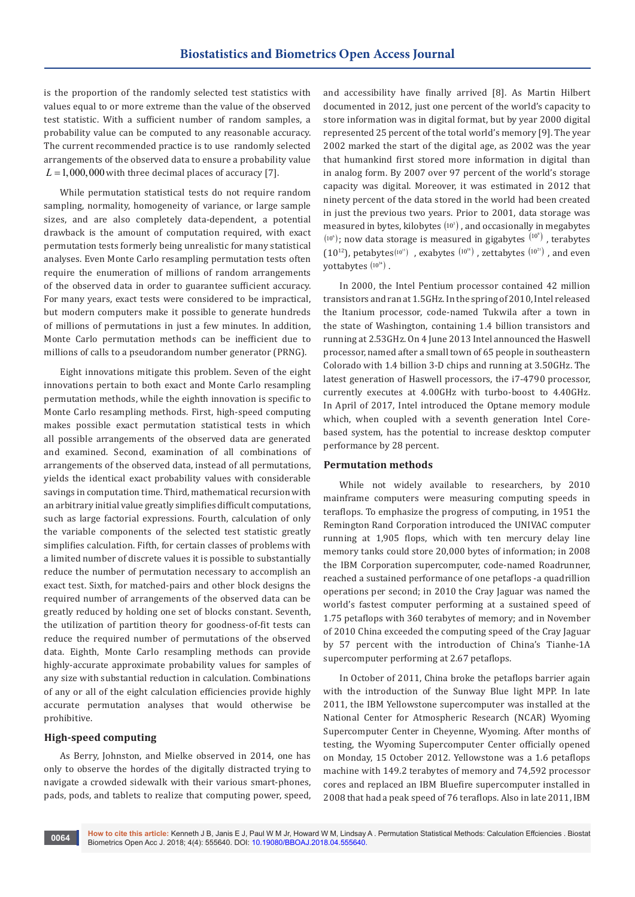is the proportion of the randomly selected test statistics with values equal to or more extreme than the value of the observed test statistic. With a sufficient number of random samples, a probability value can be computed to any reasonable accuracy. The current recommended practice is to use randomly selected arrangements of the observed data to ensure a probability value  $L = 1,000,000$  with three decimal places of accuracy [7].

While permutation statistical tests do not require random sampling, normality, homogeneity of variance, or large sample sizes, and are also completely data-dependent, a potential drawback is the amount of computation required, with exact permutation tests formerly being unrealistic for many statistical analyses. Even Monte Carlo resampling permutation tests often require the enumeration of millions of random arrangements of the observed data in order to guarantee sufficient accuracy. For many years, exact tests were considered to be impractical, but modern computers make it possible to generate hundreds of millions of permutations in just a few minutes. In addition, Monte Carlo permutation methods can be inefficient due to millions of calls to a pseudorandom number generator (PRNG).

Eight innovations mitigate this problem. Seven of the eight innovations pertain to both exact and Monte Carlo resampling permutation methods, while the eighth innovation is specific to Monte Carlo resampling methods. First, high-speed computing makes possible exact permutation statistical tests in which all possible arrangements of the observed data are generated and examined. Second, examination of all combinations of arrangements of the observed data, instead of all permutations, yields the identical exact probability values with considerable savings in computation time. Third, mathematical recursion with an arbitrary initial value greatly simplifies difficult computations, such as large factorial expressions. Fourth, calculation of only the variable components of the selected test statistic greatly simplifies calculation. Fifth, for certain classes of problems with a limited number of discrete values it is possible to substantially reduce the number of permutation necessary to accomplish an exact test. Sixth, for matched-pairs and other block designs the required number of arrangements of the observed data can be greatly reduced by holding one set of blocks constant. Seventh, the utilization of partition theory for goodness-of-fit tests can reduce the required number of permutations of the observed data. Eighth, Monte Carlo resampling methods can provide highly-accurate approximate probability values for samples of any size with substantial reduction in calculation. Combinations of any or all of the eight calculation efficiencies provide highly accurate permutation analyses that would otherwise be prohibitive.

#### **High-speed computing**

As Berry, Johnston, and Mielke observed in 2014, one has only to observe the hordes of the digitally distracted trying to navigate a crowded sidewalk with their various smart-phones, pads, pods, and tablets to realize that computing power, speed, and accessibility have finally arrived [8]. As Martin Hilbert documented in 2012, just one percent of the world's capacity to store information was in digital format, but by year 2000 digital represented 25 percent of the total world's memory [9]. The year 2002 marked the start of the digital age, as 2002 was the year that humankind first stored more information in digital than in analog form. By 2007 over 97 percent of the world's storage capacity was digital. Moreover, it was estimated in 2012 that ninety percent of the data stored in the world had been created in just the previous two years. Prior to 2001, data storage was measured in bytes, kilobytes  $(10^3)$ , and occasionally in megabytes  $(10^{\circ})$ ; now data storage is measured in gigabytes  $(10^{\circ})$ , terabytes (10<sup>12</sup>), petabytes( $10^{15}$ ), exabytes  $(10^{18})$ , zettabytes  $(10^{21})$ , and even yottabytes  $(10^{24})$ .

In 2000, the Intel Pentium processor contained 42 million transistors and ran at 1.5GHz. In the spring of 2010, Intel released the Itanium processor, code-named Tukwila after a town in the state of Washington, containing 1.4 billion transistors and running at 2.53GHz. On 4 June 2013 Intel announced the Haswell processor, named after a small town of 65 people in southeastern Colorado with 1.4 billion 3-D chips and running at 3.50GHz. The latest generation of Haswell processors, the i7-4790 processor, currently executes at 4.00GHz with turbo-boost to 4.40GHz. In April of 2017, Intel introduced the Optane memory module which, when coupled with a seventh generation Intel Corebased system, has the potential to increase desktop computer performance by 28 percent.

#### **Permutation methods**

While not widely available to researchers, by 2010 mainframe computers were measuring computing speeds in teraflops. To emphasize the progress of computing, in 1951 the Remington Rand Corporation introduced the UNIVAC computer running at 1,905 flops, which with ten mercury delay line memory tanks could store 20,000 bytes of information; in 2008 the IBM Corporation supercomputer, code-named Roadrunner, reached a sustained performance of one petaflops -a quadrillion operations per second; in 2010 the Cray Jaguar was named the world's fastest computer performing at a sustained speed of 1.75 petaflops with 360 terabytes of memory; and in November of 2010 China exceeded the computing speed of the Cray Jaguar by 57 percent with the introduction of China's Tianhe-1A supercomputer performing at 2.67 petaflops.

In October of 2011, China broke the petaflops barrier again with the introduction of the Sunway Blue light MPP. In late 2011, the IBM Yellowstone supercomputer was installed at the National Center for Atmospheric Research (NCAR) Wyoming Supercomputer Center in Cheyenne, Wyoming. After months of testing, the Wyoming Supercomputer Center officially opened on Monday, 15 October 2012. Yellowstone was a 1.6 petaflops machine with 149.2 terabytes of memory and 74,592 processor cores and replaced an IBM Bluefire supercomputer installed in 2008 that had a peak speed of 76 teraflops. Also in late 2011, IBM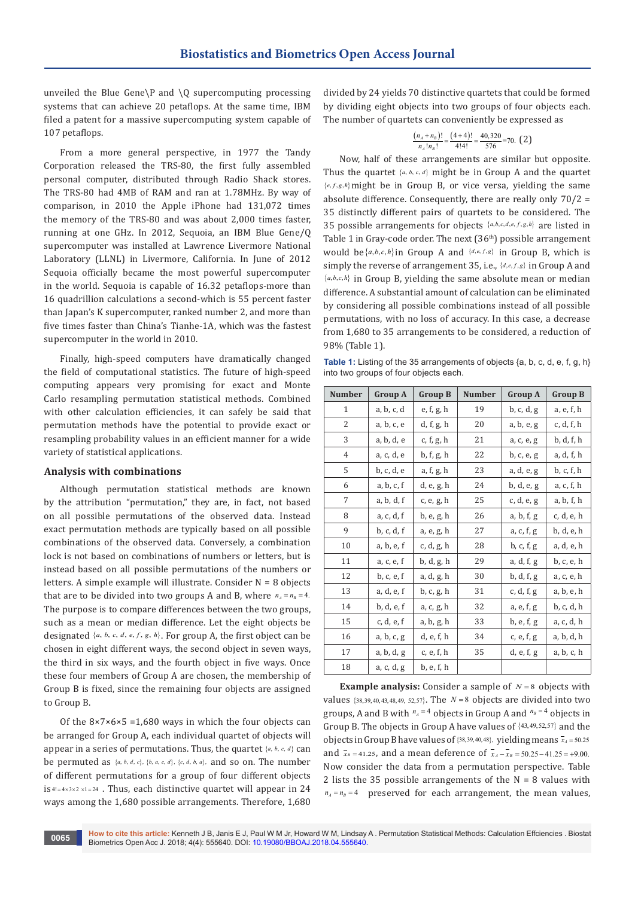unveiled the Blue Gene\P and \O supercomputing processing systems that can achieve 20 petaflops. At the same time, IBM filed a patent for a massive supercomputing system capable of 107 petaflops.

From a more general perspective, in 1977 the Tandy Corporation released the TRS-80, the first fully assembled personal computer, distributed through Radio Shack stores. The TRS-80 had 4MB of RAM and ran at 1.78MHz. By way of comparison, in 2010 the Apple iPhone had 131,072 times the memory of the TRS-80 and was about 2,000 times faster, running at one GHz. In 2012, Sequoia, an IBM Blue Gene/Q supercomputer was installed at Lawrence Livermore National Laboratory (LLNL) in Livermore, California. In June of 2012 Sequoia officially became the most powerful supercomputer in the world. Sequoia is capable of 16.32 petaflops-more than 16 quadrillion calculations a second-which is 55 percent faster than Japan's K supercomputer, ranked number 2, and more than five times faster than China's Tianhe-1A, which was the fastest supercomputer in the world in 2010.

Finally, high-speed computers have dramatically changed the field of computational statistics. The future of high-speed computing appears very promising for exact and Monte Carlo resampling permutation statistical methods. Combined with other calculation efficiencies, it can safely be said that permutation methods have the potential to provide exact or resampling probability values in an efficient manner for a wide variety of statistical applications.

## **Analysis with combinations**

Although permutation statistical methods are known by the attribution "permutation," they are, in fact, not based on all possible permutations of the observed data. Instead exact permutation methods are typically based on all possible combinations of the observed data. Conversely, a combination lock is not based on combinations of numbers or letters, but is instead based on all possible permutations of the numbers or letters. A simple example will illustrate. Consider  $N = 8$  objects that are to be divided into two groups A and B, where  $n_A = n_B = 4$ . The purpose is to compare differences between the two groups, such as a mean or median difference. Let the eight objects be designated {*a, b, c, d, e, f, g, h*}. For group A, the first object can be chosen in eight different ways, the second object in seven ways, the third in six ways, and the fourth object in five ways. Once these four members of Group A are chosen, the membership of Group B is fixed, since the remaining four objects are assigned to Group B.

Of the  $8 \times 7 \times 6 \times 5 = 1,680$  ways in which the four objects can be arranged for Group A, each individual quartet of objects will appear in a series of permutations. Thus, the quartet {*a, b, c, d*} can be permuted as  $\{a, b, d, c\}$ ,  $\{b, a, c, d\}$ ,  $\{c, d, b, a\}$ , and so on. The number of different permutations for a group of four different objects  $is$ <sup>4!=4×3×2</sup> ×1=24. Thus, each distinctive quartet will appear in 24 ways among the 1,680 possible arrangements. Therefore, 1,680

divided by 24 yields 70 distinctive quartets that could be formed by dividing eight objects into two groups of four objects each. The number of quartets can conveniently be expressed as

$$
\frac{(n_A + n_B)!}{n_A! n_B!} = \frac{(4+4)!}{4!4!} = \frac{40,320}{576} = 70. \tag{2}
$$

Now, half of these arrangements are similar but opposite. Thus the quartet {*a, b, c, d*} might be in Group A and the quartet  ${e,f,g,h}$  might be in Group B, or vice versa, vielding the same absolute difference. Consequently, there are really only  $70/2 =$ 35 distinctly different pairs of quartets to be considered. The 35 possible arrangements for objects  $\{a,b,c,d,e,f,g,h\}$  are listed in Table 1 in Gray-code order. The next  $(36<sup>th</sup>)$  possible arrangement would be  $\{a,b,c,h\}$  in Group A and  $\{d,e,f,g\}$  in Group B, which is simply the reverse of arrangement 35, i.e., {*d,e,f,g*} in Group A and  ${a,b,c,h}$  in Group B, yielding the same absolute mean or median difference. A substantial amount of calculation can be eliminated by considering all possible combinations instead of all possible permutations, with no loss of accuracy. In this case, a decrease from 1,680 to 35 arrangements to be considered, a reduction of 98% (Table 1).

**Table 1:** Listing of the 35 arrangements of objects  $\{a, b, c, d, e, f, g, h\}$ into two groups of four objects each.

| <b>Number</b> | <b>Group A</b> | <b>Group B</b> | <b>Number</b> | <b>Group A</b>     | <b>Group B</b> |
|---------------|----------------|----------------|---------------|--------------------|----------------|
| $\mathbf{1}$  | a, b, c, d     | e, f, g, h     | 19            | b, c, d, g         | a, e, f, h     |
| 2             | a, b, c, e     | d, f, g, h     | 20            | a, b, e, g         | c, d, f, h     |
| 3             | a, b, d, e     | c, f, g, h     | 21            | a, c, e, g         | b, d, f, h     |
| 4             | a, c, d, e     | b, f, g, h     | 22            | b, c, e, g         | a, d, f, h     |
| 5             | b, c, d, e     | a, f, g, h     | 23            | a, d, e, g         | b, c, f, h     |
| 6             | a, b, c, f     | d, e, g, h     | 24            | b, d, e, g         | a, c, f, h     |
| 7             | a, b, d, f     | c, e, g, h     | 25            | c, d, e, g         | a, b, f, h     |
| 8             | a, c, d, f     | b, e, g, h     | 26            | a, b, f, g         | c, d, e, h     |
| 9             | b, c, d, f     | a, e, g, h     | 27            | a, c, f, g         | b, d, e, h     |
| 10            | a, b, e, f     | c, d, g, h     | 28            | b, c, f, g         | a, d, e, h     |
| 11            | a, c, e, f     | b, d, g, h     | 29            | a, d, f, g         | b, c, e, h     |
| 12            | b, c, e, f     | a, d, g, h     | 30            | b, d, f, g         | a, c, e, h     |
| 13            | a, d, e, f     | b, c, g, h     | 31            | c, d, f, g         | a, b, e, h     |
| 14            | b, d, e, f     | a, c, g, h     | 32            | a, e, f, g         | b, c, d, h     |
| 15            | c, d, e, f     | a, b, g, h     | 33            | b, e, f, g         | a, c, d, h     |
| 16            | a, b, c, g     | d, e, f, h     | 34            | c, $e$ , $f$ , $g$ | a, b, d, h     |
| 17            | a, b, d, g     | c, e, f, h     | 35            | d, e, f, g         | a, b, c, h     |
| 18            | a, c, d, g     | b, e, f, h     |               |                    |                |

**Example analysis:** Consider a sample of *N* = 8 objects with values  $(38, 39, 40, 43, 48, 49, 52, 57)$ . The  $N = 8$  objects are divided into two groups, A and B with  $n_A = 4$  objects in Group A and  $n_B = 4$  objects in Group B. The objects in Group A have values of {43, 49,52,57} and the objects in Group B have values of  $\{38,39,40,48\}$ , yielding means  $\bar{x}_4 = 50.25$ and  $\bar{x}_B = 41.25$ , and a mean deference of  $\bar{x}_A - \bar{x}_B = 50.25 - 41.25 = +9.00$ . Now consider the data from a permutation perspective. Table 2 lists the 35 possible arrangements of the  $N = 8$  values with  $n_A = n_B = 4$  preserved for each arrangement, the mean values,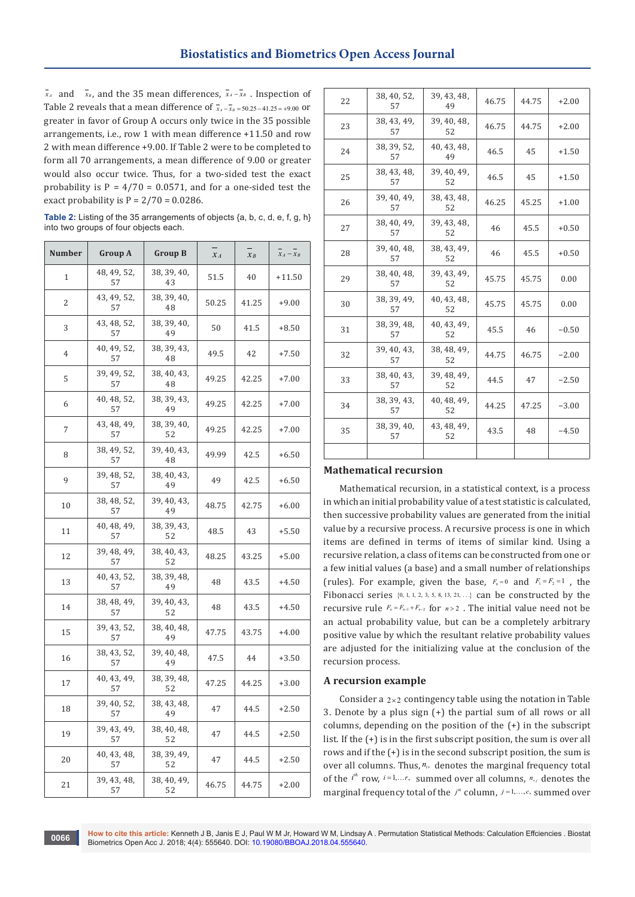**Biostatistics and Biometrics Open Access Journal**

*x<sub>A</sub>* and *x<sub>B</sub>*, and the 35 mean differences,  $\overline{x}_A - \overline{x}_B$ . Inspection of Table 2 reveals that a mean difference of  $\bar{x}_4 - \bar{x}_8 = 50.25 - 41.25 = +9.00$  or greater in favor of Group A occurs only twice in the 35 possible arrangements, i.e., row 1 with mean difference +11.50 and row 2 with mean difference +9.00. If Table 2 were to be completed to form all 70 arrangements, a mean difference of 9.00 or greater would also occur twice. Thus, for a two-sided test the exact probability is  $P = 4/70 = 0.0571$ , and for a one-sided test the exact probability is  $P = 2/70 = 0.0286$ .

**Table 2:** Listing of the 35 arrangements of objects {a, b, c, d, e, f, g, h} into two groups of four objects each.

| <b>Number</b>  | Group A           | <b>Group B</b>    | $x_A$ | $x_B$ | $x_A - x_B$ |
|----------------|-------------------|-------------------|-------|-------|-------------|
| $\mathbf{1}$   | 48, 49, 52,<br>57 | 38, 39, 40,<br>43 | 51.5  | 40    | +11.50      |
| 2              | 43, 49, 52,<br>57 | 38, 39, 40,<br>48 | 50.25 | 41.25 | $+9.00$     |
| 3              | 43, 48, 52,<br>57 | 38, 39, 40,<br>49 | 50    | 41.5  | +8.50       |
| $\overline{4}$ | 40, 49, 52,<br>57 | 38, 39, 43,<br>48 | 49.5  | 42    | $+7.50$     |
| 5              | 39, 49, 52,<br>57 | 38, 40, 43,<br>48 | 49.25 | 42.25 | $+7.00$     |
| 6              | 40, 48, 52,<br>57 | 38, 39, 43,<br>49 | 49.25 | 42.25 | $+7.00$     |
| 7              | 43, 48, 49,<br>57 | 38, 39, 40,<br>52 | 49.25 | 42.25 | $+7.00$     |
| 8              | 38, 49, 52,<br>57 | 39, 40, 43,<br>48 | 49.99 | 42.5  | $+6.50$     |
| 9              | 39, 48, 52,<br>57 | 38, 40, 43,<br>49 | 49    | 42.5  | $+6.50$     |
| 10             | 38, 48, 52,<br>57 | 39, 40, 43,<br>49 | 48.75 | 42.75 | $+6.00$     |
| 11             | 40, 48, 49,<br>57 | 38, 39, 43,<br>52 | 48.5  | 43    | $+5.50$     |
| 12             | 39, 48, 49,<br>57 | 38, 40, 43,<br>52 | 48.25 | 43.25 | $+5.00$     |
| 13             | 40, 43, 52,<br>57 | 38, 39, 48,<br>49 | 48    | 43.5  | $+4.50$     |
| 14             | 38, 48, 49,<br>57 | 39, 40, 43,<br>52 | 48    | 43.5  | $+4.50$     |
| 15             | 39, 43, 52,<br>57 | 38, 40, 48,<br>49 | 47.75 | 43.75 | +4.00       |
| 16             | 38, 43, 52,<br>57 | 39, 40, 48,<br>49 | 47.5  | 44    | $+3.50$     |
| 17             | 40, 43, 49,<br>57 | 38, 39, 48,<br>52 | 47.25 | 44.25 | $+3.00$     |
| 18             | 39, 40, 52,<br>57 | 38, 43, 48,<br>49 | 47    | 44.5  | $+2.50$     |
| 19             | 39, 43, 49,<br>57 | 38, 40, 48,<br>52 | 47    | 44.5  | $+2.50$     |
| 20             | 40, 43, 48,<br>57 | 38, 39, 49,<br>52 | 47    | 44.5  | $+2.50$     |
| 21             | 39, 43, 48,<br>57 | 38, 40, 49,<br>52 | 46.75 | 44.75 | $+2.00$     |

| 22 | 38, 40, 52,<br>57 | 39, 43, 48,<br>49 | 46.75 | 44.75 | $+2.00$ |
|----|-------------------|-------------------|-------|-------|---------|
| 23 | 38, 43, 49,<br>57 | 39, 40, 48,<br>52 | 46.75 | 44.75 | $+2.00$ |
| 24 | 38, 39, 52,<br>57 | 40, 43, 48,<br>49 | 46.5  | 45    | $+1.50$ |
| 25 | 38, 43, 48,<br>57 | 39, 40, 49,<br>52 | 46.5  | 45    | $+1.50$ |
| 26 | 39, 40, 49,<br>57 | 38, 43, 48,<br>52 | 46.25 | 45.25 | $+1.00$ |
| 27 | 38, 40, 49,<br>57 | 39, 43, 48,<br>52 | 46    | 45.5  | $+0.50$ |
| 28 | 39, 40, 48,<br>57 | 38, 43, 49,<br>52 | 46    | 45.5  | $+0.50$ |
| 29 | 38, 40, 48,<br>57 | 39, 43, 49,<br>52 | 45.75 | 45.75 | 0.00    |
| 30 | 38, 39, 49,<br>57 | 40, 43, 48,<br>52 | 45.75 | 45.75 | 0.00    |
| 31 | 38, 39, 48,<br>57 | 40, 43, 49,<br>52 | 45.5  | 46    | $-0.50$ |
| 32 | 39, 40, 43,<br>57 | 38, 48, 49,<br>52 | 44.75 | 46.75 | $-2.00$ |
| 33 | 38, 40, 43,<br>57 | 39, 48, 49,<br>52 | 44.5  | 47    | $-2.50$ |
| 34 | 38, 39, 43,<br>57 | 40, 48, 49,<br>52 | 44.25 | 47.25 | $-3.00$ |
| 35 | 38, 39, 40,<br>57 | 43, 48, 49,<br>52 | 43.5  | 48    | $-4.50$ |
|    |                   |                   |       |       |         |

## **Mathematical recursion**

Mathematical recursion, in a statistical context, is a process in which an initial probability value of a test statistic is calculated, then successive probability values are generated from the initial value by a recursive process. A recursive process is one in which items are defined in terms of items of similar kind. Using a recursive relation, a class of items can be constructed from one or a few initial values (a base) and a small number of relationships (rules). For example, given the base,  $F_0 = 0$  and  $F_1 = F_2 = 1$ , the Fibonacci series  $\{0, 1, 1, 2, 3, 5, 8, 13, 21, \ldots\}$  can be constructed by the recursive rule  $F_n = F_{n-1} + F_{n-2}$  for  $n > 2$ . The initial value need not be an actual probability value, but can be a completely arbitrary positive value by which the resultant relative probability values are adjusted for the initializing value at the conclusion of the recursion process.

#### **A recursion example**

Consider a  $2 \times 2$  contingency table using the notation in Table 3. Denote by a plus sign (+) the partial sum of all rows or all columns, depending on the position of the (+) in the subscript list. If the (+) is in the first subscript position, the sum is over all rows and if the (+) is in the second subscript position, the sum is over all columns. Thus,  $n_{i+}$  denotes the marginal frequency total of the  $i^{th}$  row,  $i=1,...r$ , summed over all columns,  $n_{+j}$  denotes the marginal frequency total of the  $j^h$  column,  $j=1,\ldots,c$ , summed over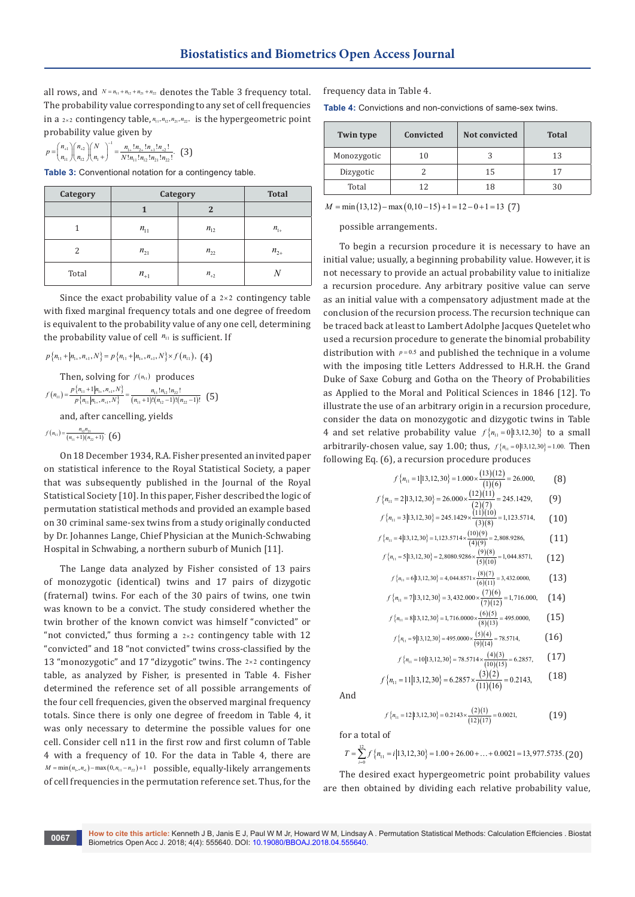all rows, and  $N = n_1 + n_2 + n_2 + n_3$  denotes the Table 3 frequency total. The probability value corresponding to any set of cell frequencies in a  $2 \times 2$  contingency table,  $n_1, n_2, n_2, n_2$ , is the hypergeometric point probability value given by

$$
p = {n_{+1} \choose n_{11}} {n_{+2} \choose n_{12}} {N \choose n_{1}}^{-1} = \frac{n_{1+}! n_{2+}! n_{+1}! n_{+2}!}{N! n_{11}! n_{12}! n_{21}! n_{22}!}.
$$
 (3)

**Table 3:** Conventional notation for a contingency table.

| <b>Category</b> | <b>Category</b> | <b>Total</b> |          |
|-----------------|-----------------|--------------|----------|
|                 |                 | 2            |          |
|                 | $n_{11}$        | $n_{12}$     | $n_{1+}$ |
| 2               | $n_{21}$        | $n_{22}$     | $n_{2+}$ |
| Total           | $n_{+1}$        | $n_{+2}$     |          |

Since the exact probability value of a  $2\times 2$  contingency table with fixed marginal frequency totals and one degree of freedom is equivalent to the probability value of any one cell, determining the probability value of cell  $n_{11}$  is sufficient. If

 $p\{n_{11}+|n_{1+},n_{+1},N\}=p\{n_{11}+|n_{1+},n_{+1},N\}\times f(n_{11}),$  (4)

Then, solving for  $f(n_{11})$  produces  $(n_{11}) = \frac{P\{n_{11}+1|n_{1+},n_{+1},N\}}{P\{n_{11}|n_{1+},n_{+1},N\}} = \frac{n_{11}!n_{12}!n_{22}!}{(n_{11}+1)!(n_{12}-1)!(n_{22}-1)}$  $1|n_{1+}, n_{+1}, N$   $n_{11}!n_{12}!n_{22}!$  $f(n_{11}) = \frac{p_1^{1} n_{11} + 1 |n_{1+}, n_{+1}, N_1^{1}}{p_1^{1} n_{11} |n_{1+}, n_{+1}, N_1^{1}} = \frac{n_{11}! n_{12}! n_{22}!}{(n_{11}+1)!(n_{12}-1)!(n_{22}-1)!}$  $=\frac{p\left\{n_{11}+1|n_{1+},n_{+1},N\right\}}{p\left\{n_{11}|n_{1+},n_{+1},N\right\}}=\frac{n_{11}!n_{12}!n_{22}!}{(n_{11}+1)!(n_{12}-1)!(n_{22}-1)!}$  (5)

and, after cancelling, yields

 $f(n_{11}) = \frac{n_{12}n_{21}}{(n_{11}+1)(n_{22}+1)}$  (6)

On 18 December 1934, R.A. Fisher presented an invited paper on statistical inference to the Royal Statistical Society, a paper that was subsequently published in the Journal of the Royal Statistical Society [10]. In this paper, Fisher described the logic of permutation statistical methods and provided an example based on 30 criminal same-sex twins from a study originally conducted by Dr. Johannes Lange, Chief Physician at the Munich-Schwabing Hospital in Schwabing, a northern suburb of Munich [11].

The Lange data analyzed by Fisher consisted of 13 pairs of monozygotic (identical) twins and 17 pairs of dizygotic (fraternal) twins. For each of the 30 pairs of twins, one twin was known to be a convict. The study considered whether the twin brother of the known convict was himself "convicted" or "not convicted," thus forming a  $2 \times 2$  contingency table with 12 "convicted" and 18 "not convicted" twins cross-classified by the 13 "monozygotic" and 17 "dizygotic" twins. The  $2 \times 2$  contingency table, as analyzed by Fisher, is presented in Table 4. Fisher determined the reference set of all possible arrangements of the four cell frequencies, given the observed marginal frequency totals. Since there is only one degree of freedom in Table 4, it was only necessary to determine the possible values for one cell. Consider cell n11 in the first row and first column of Table 4 with a frequency of 10. For the data in Table 4, there are  $M = min(n_1, n_1) - max(0, n_1 - n_2) + 1$  possible, equally-likely arrangements of cell frequencies in the permutation reference set. Thus, for the frequency data in Table 4.

**Table 4:** Convictions and non-convictions of same-sex twins.

| Twin type   | Convicted | Not convicted | <b>Total</b> |
|-------------|-----------|---------------|--------------|
| Monozygotic | 10        |               | 13           |
| Dizygotic   |           | 15            | 17           |
| Total       | 12        | 18            | 30           |

 $M = min(13,12) - max(0,10-15) + 1 = 12 - 0 + 1 = 13$  (7)

possible arrangements.

To begin a recursion procedure it is necessary to have an initial value; usually, a beginning probability value. However, it is not necessary to provide an actual probability value to initialize a recursion procedure. Any arbitrary positive value can serve as an initial value with a compensatory adjustment made at the conclusion of the recursion process. The recursion technique can be traced back at least to Lambert Adolphe Jacques Quetelet who used a recursion procedure to generate the binomial probability distribution with  $p=0.5$  and published the technique in a volume with the imposing title Letters Addressed to H.R.H. the Grand Duke of Saxe Coburg and Gotha on the Theory of Probabilities as Applied to the Moral and Political Sciences in 1846 [12]. To illustrate the use of an arbitrary origin in a recursion procedure, consider the data on monozygotic and dizygotic twins in Table 4 and set relative probability value  $f\{n_{11} = 0 | 13, 12, 30\}$  to a small arbitrarily-chosen value, say 1.00; thus,  $f_{n_{11}} = 0 | 13,12,30 \rangle = 1.00$ . Then following Eq. (6), a recursion procedure produces

$$
f\{n_{11} = 1|13,12,30\} = 1.000 \times \frac{(13)(12)}{(1)(6)} = 26.000,
$$
 (8)

$$
f\left\{n_{11} = 2|13,12,30\right\} = 26.000 \times \frac{(12)(11)}{(2)(7)} = 245.1429,
$$
 (9)

$$
f\left\{n_{11} = 3|13,12,30\right\} = 245.1429 \times \frac{(11)(10)}{(3)(8)} = 1,123.5714,\tag{10}
$$

$$
f\{n_{11} = 4|13,12,30\} = 1,123.5714 \times \frac{(10)(9)}{(4)(9)} = 2,808.9286,\tag{11}
$$

$$
f\left\{n_{11} = 5|13,12,30\right\} = 2,8080.9286 \times \frac{(9)(8)}{(5)(10)} = 1,044.8571,\tag{12}
$$

$$
f\left\{n_{11} = 6|13,12,30\right\} = 4,044.8571 \times \frac{(8)(7)}{(6)(11)} = 3,432.0000,\tag{13}
$$

$$
f\{n_{11} = 7|13,12,30\} = 3,432.000 \times \frac{(7)(6)}{(7)(12)} = 1,716.000,
$$
 (14)

$$
f\left\{n_{11} = 8|13,12,30\right\} = 1,716.0000 \times \frac{(6)(5)}{(8)(13)} = 495.0000,\tag{15}
$$

$$
f\left\{n_{11} = 9|13,12,30\right\} = 495.0000 \times \frac{(5)(4)}{(9)(14)} = 78.5714,\tag{16}
$$

$$
f\{n_{11} = 10|13,12,30\} = 78.5714 \times \frac{(4)(3)}{(10)(15)} = 6.2857, \qquad (17)
$$

$$
f\left\{n_{11} = 11|13,12,30\right\} = 6.2857 \times \frac{(3)(2)}{(11)(16)} = 0.2143,\tag{18}
$$

And

$$
f\left\{n_{11} = 12|13,12,30\right\} = 0.2143 \times \frac{(2)(1)}{(12)(17)} = 0.0021,\tag{19}
$$

for a total of

$$
T = \sum_{i=0}^{12} f\left\{ n_{11} = i | 13, 12, 30 \right\} = 1.00 + 26.00 + \dots + 0.0021 = 13,977.5735. \tag{20}
$$

The desired exact hypergeometric point probability values are then obtained by dividing each relative probability value,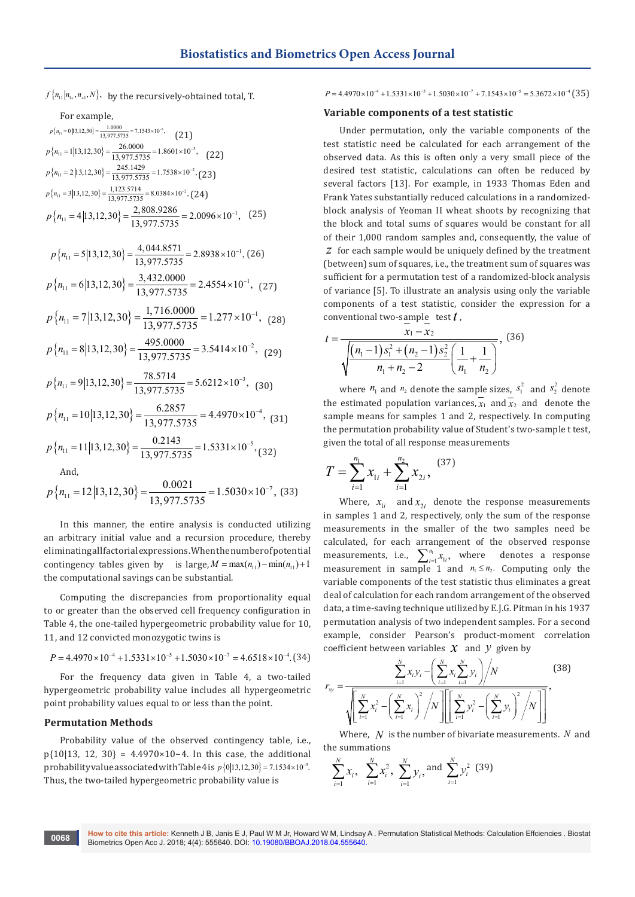$f\{n_{11} | n_{1+}, n_{+1}, N\}$ , by the recursively-obtained total, T.

| For example,                                                                                                 |
|--------------------------------------------------------------------------------------------------------------|
| $p\left\{ n_{11}=0 13,12,30\right\} =\frac{1.0000}{13,977.5735}=7.1543\times10^{-5},\qquad \left( 21\right)$ |
| $p\left\{n_{11} = 1 13,12,30\right\} = \frac{26.0000}{13,977.5735} = 1.8601 \times 10^{-3},$ (22)            |
| $p\left\{n_{11} = 2 13,12,30\right\} = \frac{245.1429}{13,977.5735} = 1.7538 \times 10^{-2}$ , (23)          |
| $p\{n_{11} = 3 13,12,30\} = \frac{1,123.5714}{13,977.5735} = 8.0384 \times 10^{-2}$ , (24)                   |
| $p\left\{n_{11} = 4 13,12,30\right\} = \frac{2,808.9286}{13.977.5735} = 2.0096 \times 10^{-1}$ , (25)        |
| $p\left\{n_{11} = 5 13,12,30\right\} = \frac{4,044.8571}{13,977.5735} = 2.8938 \times 10^{-1}$ , (26)        |
| $p\left\{n_{11} = 6 13,12,30\right\} = \frac{3,432.0000}{13,977,5735} = 2.4554 \times 10^{-1}$ , (27)        |
| $p\left\{n_{11} = 7 13,12,30\right\} = \frac{1,716.0000}{13,977.5735} = 1.277 \times 10^{-1}$ , (28)         |
| $p\left\{n_{11} = 8 13,12,30\right\} = \frac{495.0000}{13.977.5735} = 3.5414 \times 10^{-2}$ , (29)          |
| $p\left\{n_{11} = 9 13,12,30\right\} = \frac{78.5714}{13.977.5735} = 5.6212 \times 10^{-3},$ (30)            |
| $p\left\{n_{11} = 10 13,12,30\right\} = \frac{6.2857}{13.977.5735} = 4.4970 \times 10^{-4}$ , (31)           |
| $p\left\{n_{11} = 11 13,12,30\right\} = \frac{0.2143}{13.977.5735} = 1.5331 \times 10^{-5}$ , (32)           |
| And,                                                                                                         |

$$
p\left\{n_{11} = 12|13,12,30\right\} = \frac{0.0021}{13,977.5735} = 1.5030 \times 10^{-7},\ (33)
$$

In this manner, the entire analysis is conducted utilizing an arbitrary initial value and a recursion procedure, thereby eliminating all factorial expressions. When the number of potential contingency tables given by is large,  $M = \max(n_{11}) - \min(n_{11}) + 1$ the computational savings can be substantial.

Computing the discrepancies from proportionality equal to or greater than the observed cell frequency configuration in Table 4, the one-tailed hypergeometric probability value for 10, 11, and 12 convicted monozygotic twins is

$$
P = 4.4970 \times 10^{-4} + 1.5331 \times 10^{-5} + 1.5030 \times 10^{-7} = 4.6518 \times 10^{-4}
$$
 (34)

For the frequency data given in Table 4, a two-tailed hypergeometric probability value includes all hypergeometric point probability values equal to or less than the point.

#### **Permutation Methods**

Probability value of the observed contingency table, i.e., p{10|13, 12, 30} = 4.4970×10−4. In this case, the additional probability value associated with Table 4 is  $p\{0|13,12,30\} = 7.1534 \times 10^{-5}$ . Thus, the two-tailed hypergeometric probability value is

 $P = 4.4970 \times 10^{-4} + 1.5331 \times 10^{-5} + 1.5030 \times 10^{-7} + 7.1543 \times 10^{-5} = 5.3672 \times 10^{-4}$  (35)

#### **Variable components of a test statistic**

Under permutation, only the variable components of the test statistic need be calculated for each arrangement of the observed data. As this is often only a very small piece of the desired test statistic, calculations can often be reduced by several factors [13]. For example, in 1933 Thomas Eden and Frank Yates substantially reduced calculations in a randomizedblock analysis of Yeoman II wheat shoots by recognizing that the block and total sums of squares would be constant for all of their 1,000 random samples and, consequently, the value of *z* for each sample would be uniquely defined by the treatment (between) sum of squares, i.e., the treatment sum of squares was sufficient for a permutation test of a randomized-block analysis of variance [5]. To illustrate an analysis using only the variable components of a test statistic, consider the expression for a conventional two-sample test *t* ,

$$
t = \frac{x_1 - x_2}{\sqrt{\frac{(n_1 - 1)s_1^2 + (n_2 - 1)s_2^2}{n_1 + n_2 - 2}} \left(\frac{1}{n_1} + \frac{1}{n_2}\right)},
$$
(36)

where  $n_1$  and  $n_2$  denote the sample sizes,  $s_1^2$  and  $s_2^2$  denote the estimated population variances,  $\overline{x_1}$  and  $\overline{x_2}$  and denote the sample means for samples 1 and 2, respectively. In computing the permutation probability value of Student's two-sample t test, given the total of all response measurements

$$
T = \sum_{i=1}^{n_1} x_{1i} + \sum_{i=1}^{n_2} x_{2i}, \tag{37}
$$

Where,  $x_{1i}$  and  $x_{2i}$  denote the response measurements in samples 1 and 2, respectively, only the sum of the response measurements in the smaller of the two samples need be calculated, for each arrangement of the observed response measurements, i.e.,  $\sum_{i=1}^{n_1} x_{1i}$ , where denotes a response measurement in sample 1 and  $n_1 \leq n_2$ . Computing only the variable components of the test statistic thus eliminates a great deal of calculation for each random arrangement of the observed data, a time-saving technique utilized by E.J.G. Pitman in his 1937 permutation analysis of two independent samples. For a second example, consider Pearson's product-moment correlation coefficient between variables  $\mathcal X$  and  $\mathcal V$  given by

$$
r_{xy} = \frac{\sum_{i=1}^{N} x_i y_i - \left(\sum_{i=1}^{N} x_i \sum_{i=1}^{N} y_i\right) / N}{\sqrt{\left[\sum_{i=1}^{N} x_i^2 - \left(\sum_{i=1}^{N} x_i\right)^2 / N\right] \left[\left[\sum_{i=1}^{N} y_i^2 - \left(\sum_{i=1}^{N} y_i\right)^2 / N\right]\right]}},
$$
(38)

Where, *N* is the number of bivariate measurements. *N* and the summations

$$
\sum_{i=1}^{N} x_i, \sum_{i=1}^{N} x_i^2, \sum_{i=1}^{N} y_i, \text{and } \sum_{i=1}^{N} y_i^2 \text{ (39)}
$$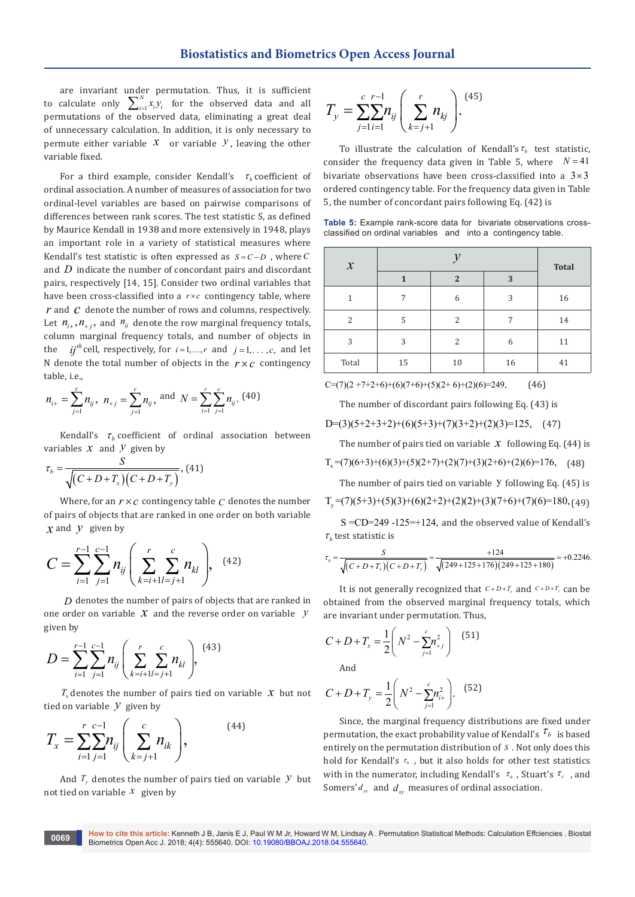are invariant under permutation. Thus, it is sufficient to calculate only  $\sum_{i=1}^{N} x_i y_i$  for the observed data and all permutations of the observed data, eliminating a great deal of unnecessary calculation. In addition, it is only necessary to permute either variable  $\mathcal X$  or variable  $\mathcal Y$ , leaving the other variable fixed.

For a third example, consider Kendall's  $\tau<sub>b</sub>$  coefficient of ordinal association. A number of measures of association for two ordinal-level variables are based on pairwise comparisons of differences between rank scores. The test statistic S, as defined by Maurice Kendall in 1938 and more extensively in 1948, plays an important role in a variety of statistical measures where Kendall's test statistic is often expressed as  $S = C - D$ , where  $C$ and *D* indicate the number of concordant pairs and discordant pairs, respectively [14, 15]. Consider two ordinal variables that have been cross-classified into a  $r \times c$  contingency table, where *r* and *c* denote the number of rows and columns, respectively. Let  $n_{i+}, n_{+i}$ , and  $n_{ij}$  denote the row marginal frequency totals, column marginal frequency totals, and number of objects in the *ij*<sup>th</sup> cell, respectively, for  $i=1,\dots,r$  and  $j=1,\dots,c$ , and let N denote the total number of objects in the  $r \times c$  contingency table, i.e.,

$$
n_{i+} = \sum_{j=1}^{c} n_{ij}, n_{+j} = \sum_{j=1}^{r} n_{ij},
$$
 and  $N = \sum_{i=1}^{r} \sum_{j=1}^{c} n_{ij}.$  (40)

Kendall's  $\tau_h$  coefficient of ordinal association between variables  $x$  and  $y$  given by

$$
\tau_b = \frac{S}{\sqrt{(C+D+T_x)(C+D+T_y)}},
$$
(41)

Where, for an  $r \times c$  contingency table  $c$  denotes the number of pairs of objects that are ranked in one order on both variable *x* and *y* given by

$$
C = \sum_{i=1}^{r-1} \sum_{j=1}^{c-1} n_{ij} \left( \sum_{k=i+1}^{r} \sum_{l=j+1}^{c} n_{kl} \right), \quad (42)
$$

*D* denotes the number of pairs of objects that are ranked in one order on variable *x* and the reverse order on variable *y* given by

$$
D = \sum_{i=1}^{r-1} \sum_{j=1}^{c-1} n_{ij} \left( \sum_{k=i+1}^{r} \sum_{l=j+1}^{c} n_{kl} \right), \tag{43}
$$

 $T<sub>x</sub>$  denotes the number of pairs tied on variable  $X$  but not tied on variable  $\mathcal Y$  given by

$$
T_x = \sum_{i=1}^{r} \sum_{j=1}^{c-1} n_{ij} \left( \sum_{k=j+1}^{c} n_{ik} \right), \tag{44}
$$

And  $T<sub>v</sub>$  denotes the number of pairs tied on variable  $\mathcal Y$  but not tied on variable *x* given by

$$
T_{y} = \sum_{j=1}^{c} \sum_{i=1}^{r-1} n_{ij} \left( \sum_{k=j+1}^{r} n_{kj} \right). \tag{45}
$$

To illustrate the calculation of Kendall's  $\tau_h$  test statistic, consider the frequency data given in Table 5, where  $N = 41$ bivariate observations have been cross-classified into a  $3\times 3$ ordered contingency table. For the frequency data given in Table 5, the number of concordant pairs following Eq. (42) is

**Table 5:** Example rank-score data for bivariate observations crossclassified on ordinal variables and into a contingency table.

| $\boldsymbol{\mathcal{X}}$ |    |              |    | <b>Total</b> |  |
|----------------------------|----|--------------|----|--------------|--|
|                            | 1  | $\mathbf{2}$ | 3  |              |  |
| 1                          | 7  | 6            | 3  | 16           |  |
| 2                          | 5  | 2            | 7  | 14           |  |
| 3                          | 3  | 2            | 6  | 11           |  |
| Total                      | 15 | 10           | 16 | 41           |  |

 $C=(7)(2+7+2+6)+(6)(7+6)+(5)(2+6)+(2)(6)=249,$  (46)

The number of discordant pairs following Eq. (43) is

$$
D=(3)(5+2+3+2)+(6)(5+3)+(7)(3+2)+(2)(3)=125, (47)
$$

The number of pairs tied on variable  $x$  following Eq. (44) is

 $T_x=(7)(6+3)+(6)(3)+(5)(2+7)+(2)(7)+(3)(2+6)+(2)(6)=176, (48)$ 

The number of pairs tied on variable  $Y$  following Eq. (45) is

 $T_v=(7)(5+3)+(5)(3)+(6)(2+2)+(2)(2)+(3)(7+6)+(7)(6)=180, (49)$ 

 $S = CD = 249 - 125 = +124$ , and the observed value of Kendall's  $\tau_h$  test statistic is

$$
\tau_b = \frac{S}{\sqrt{(C+D+T_x)(C+D+T_y)}} = \frac{+124}{\sqrt{(249+125+176)(249+125+180)}} = +0.2246.
$$

It is not generally recognized that  $C+D+T_x$  and  $C+D+T_y$  can be obtained from the observed marginal frequency totals, which are invariant under permutation. Thus,

$$
C + D + T_x = \frac{1}{2} \left( N^2 - \sum_{j=1}^{c} n_{+j}^2 \right) \tag{51}
$$
  
And

$$
C + D + T_{y} = \frac{1}{2} \left( N^{2} - \sum_{j=1}^{c} n_{i+1}^{2} \right). \tag{52}
$$

Since, the marginal frequency distributions are fixed under permutation, the exact probability value of Kendall's  $\tau_b$  is based entirely on the permutation distribution of *S* . Not only does this hold for Kendall's *τ<sub>b</sub>* , but it also holds for other test statistics with in the numerator, including Kendall's  $\tau_a$ , Stuart's  $\tau_c$ , and Somers'  $d_{yx}$  and  $d_{xy}$  measures of ordinal association.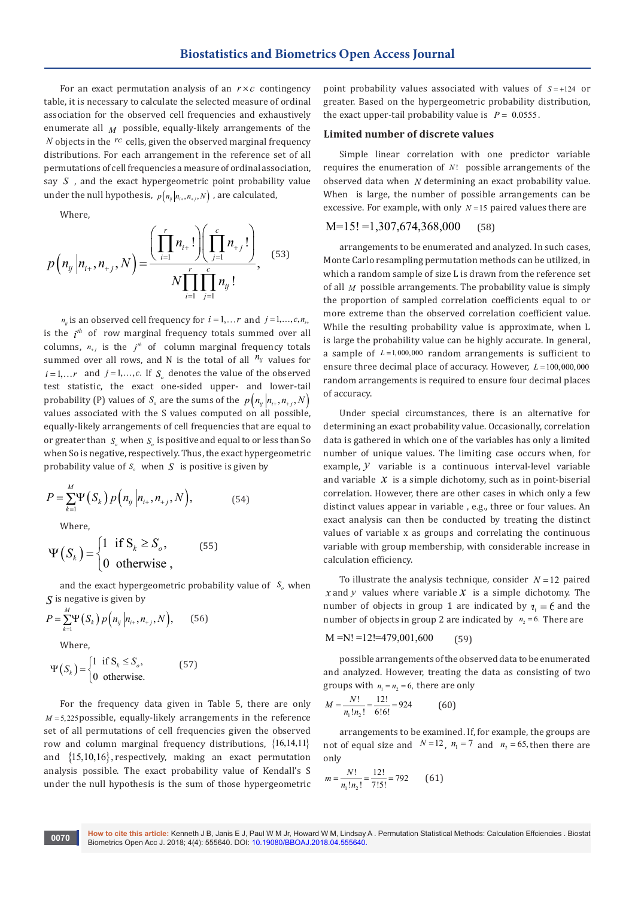For an exact permutation analysis of an  $r \times c$  contingency table, it is necessary to calculate the selected measure of ordinal association for the observed cell frequencies and exhaustively enumerate all  $M$  possible, equally-likely arrangements of the *N* objects in the <sup>rc</sup> cells, given the observed marginal frequency distributions. For each arrangement in the reference set of all permutations of cell frequencies a measure of ordinal association, say *S* , and the exact hypergeometric point probability value under the null hypothesis,  $p(n_{ij} | n_{i+1}, n_{i+1}, N)$ , are calculated,

Where,

$$
p\left(n_{ij}|n_{i+},n_{+j},N\right) = \frac{\left(\prod_{i=1}^{r}n_{i+}!\right)\left(\prod_{j=1}^{c}n_{+j}!\right)}{N\prod_{i=1}^{r}\prod_{j=1}^{c}n_{ij}!},
$$
(53)

 $n_{ij}$  is an observed cell frequency for  $i = 1, \ldots r$  and  $j = 1, \ldots, c, n_{i+1}$ is the  $i^{th}$  of row marginal frequency totals summed over all columns,  $n_{+}$  is the  $j^{th}$  of column marginal frequency totals summed over all rows, and N is the total of all  $n_{ij}$  values for  $i = 1, \ldots r$  and  $j = 1, \ldots, c$ . If *S* denotes the value of the observed test statistic, the exact one-sided upper- and lower-tail probability (P) values of *S<sub>o</sub>* are the sums of the  $p\left(n_{ij} | n_{i+}, n_{+}, N\right)$ values associated with the S values computed on all possible, equally-likely arrangements of cell frequencies that are equal to or greater than *<sup>o</sup> S* when *<sup>o</sup> S* is positive and equal to or less than So when So is negative, respectively. Thus, the exact hypergeometric probability value of  $S_n$  when  $S_n$  is positive is given by

$$
P = \sum_{k=1}^{M} \Psi\left(S_k\right) p\left(n_{ij} \middle| n_{i+}, n_{+j}, N\right),\tag{54}
$$

Where,

$$
\Psi(S_k) = \begin{cases} 1 & \text{if } S_k \ge S_o, \\ 0 & \text{otherwise} \end{cases}
$$
 (55)

and the exact hypergeometric probability value of  $S<sub>o</sub>$  when *S* is negative is given by

$$
P = \sum_{k=1}^{M} \Psi(S_k) p\left(n_{ij} \middle| n_{i+}, n_{+j}, N\right), \qquad (56)
$$
\nWhere,

\n
$$
\begin{array}{ccc}\n\text{(1.188, 4.8)} & \text{(1.189, 4.8)} \\
\text{(2.189, 4.8)} & \text{(2.189, 4.8)} \\
\text{(3.189, 4.8)} & \text{(4.189, 4.8)} \\
\text{(5.189, 4.8)} & \text{(5.189, 4.8)} \\
\text{(6.189, 4.8)} & \text{(6.189, 4.8)} \\
\text{(6.189, 4.8)} & \text{(6.189, 4.8)} \\
\text{(6.189, 4.8)} & \text{(6.189, 4.8)} \\
\text{(6.189, 4.8)} & \text{(6.189, 4.8)} \\
\text{(6.189, 4.8)} & \text{(6.189, 4.8)} \\
\text{(6.189, 4.8)} & \text{(6.189, 4.8)} \\
\text{(6.189, 4.8)} & \text{(6.189, 4.8)} \\
\text{(6.189, 4.8)} & \text{(6.189, 4.8)} \\
\text{(6.189, 4.8)} & \text{(6.189, 4.8)} \\
\text{(6.189, 4.8)} & \text{(6.189, 4.8)} \\
\text{(6.189, 4.8)} & \text{(6.189, 4.8)} \\
\text{(6.189, 4.8)} & \text{(6.189, 4.8)} \\
\text{(6.189, 4.8)} & \text{(6.189, 4.8)} \\
\text{(6.189, 4.8)} & \text{(6.189, 4.8)} \\
\text{(6.189, 4.8)} & \text{(6.189, 4.8)} \\
\text{(6.189, 4.8)} & \text{(6.189, 4.8)} \\
\text{(6.189, 4.8)} & \text{(6.189, 4.8)} \\
\text{(6.189, 4.8)} &
$$

$$
\Psi(S_k) = \begin{cases} 1 & \text{if } S_k \le S_o, \\ 0 & \text{otherwise.} \end{cases}
$$
 (57)

For the frequency data given in Table 5, there are only  $M = 5,225$  possible, equally-likely arrangements in the reference set of all permutations of cell frequencies given the observed row and column marginal frequency distributions,  $\{16,14,11\}$ and  $\{15,10,16\}$ , respectively, making an exact permutation analysis possible. The exact probability value of Kendall's S under the null hypothesis is the sum of those hypergeometric

point probability values associated with values of *S* = +124 or greater. Based on the hypergeometric probability distribution, the exact upper-tail probability value is  $P = 0.0555$ .

## **Limited number of discrete values**

Simple linear correlation with one predictor variable requires the enumeration of *N*! possible arrangements of the observed data when *N* determining an exact probability value. When is large, the number of possible arrangements can be excessive. For example, with only *N* =15 paired values there are

$$
M=15! = 1,307,674,368,000
$$
 (58)

arrangements to be enumerated and analyzed. In such cases, Monte Carlo resampling permutation methods can be utilized, in which a random sample of size L is drawn from the reference set of all *M* possible arrangements. The probability value is simply the proportion of sampled correlation coefficients equal to or more extreme than the observed correlation coefficient value. While the resulting probability value is approximate, when L is large the probability value can be highly accurate. In general, a sample of *<sup>L</sup>* <sup>=</sup>1,000,000 random arrangements is sufficient to ensure three decimal place of accuracy. However,  $L = 100,000,000$ random arrangements is required to ensure four decimal places of accuracy.

Under special circumstances, there is an alternative for determining an exact probability value. Occasionally, correlation data is gathered in which one of the variables has only a limited number of unique values. The limiting case occurs when, for example, *y* variable is a continuous interval-level variable and variable  $\boldsymbol{\mathcal{X}}$  is a simple dichotomy, such as in point-biserial correlation. However, there are other cases in which only a few distinct values appear in variable , e.g., three or four values. An exact analysis can then be conducted by treating the distinct values of variable x as groups and correlating the continuous variable with group membership, with considerable increase in calculation efficiency.

To illustrate the analysis technique, consider  $N = 12$  paired *x* and *y* values where variable *x* is a simple dichotomy. The number of objects in group 1 are indicated by  $\eta_1 = 6$  and the number of objects in group 2 are indicated by  $n_2 = 6$ . There are

$$
M = N! = 12! = 479,001,600
$$
 (59)

possible arrangements of the observed data to be enumerated and analyzed. However, treating the data as consisting of two groups with  $n_1 = n_2 = 6$ , there are only

$$
M = \frac{N!}{n_1! n_2!} = \frac{12!}{6!6!} = 924
$$
 (60)

arrangements to be examined. If, for example, the groups are not of equal size and  $N=12$ ,  $n_1 = 7$  and  $n_2 = 65$ , then there are only

$$
m = \frac{N!}{n_1! n_2!} = \frac{12!}{7!5!} = 792
$$
 (61)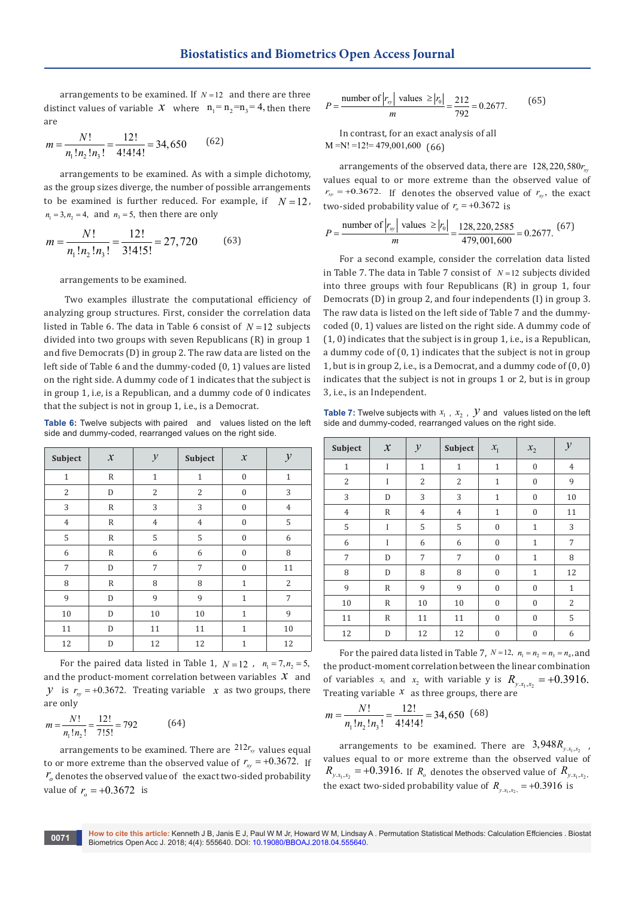arrangements to be examined. If  $N=12$  and there are three distinct values of variable *x* where  $n_1 = n_2 = n_3 = 4$ , then there are

$$
m = \frac{N!}{n_1! n_2! n_3!} = \frac{12!}{4!4!4!} = 34,650
$$
 (62)

arrangements to be examined. As with a simple dichotomy, as the group sizes diverge, the number of possible arrangements to be examined is further reduced. For example, if  $N = 12$ ,  $n_1 = 3, n_2 = 4$ , and  $n_3 = 5$ , then there are only

$$
m = \frac{N!}{n_1! n_2! n_3!} = \frac{12!}{3!4!5!} = 27,720
$$
 (63)

arrangements to be examined.

 Two examples illustrate the computational efficiency of analyzing group structures. First, consider the correlation data listed in Table 6. The data in Table 6 consist of  $N = 12$  subjects divided into two groups with seven Republicans (R) in group 1 and five Democrats (D) in group 2. The raw data are listed on the left side of Table 6 and the dummy-coded (0, 1) values are listed on the right side. A dummy code of 1 indicates that the subject is in group 1, i.e, is a Republican, and a dummy code of 0 indicates that the subject is not in group 1, i.e., is a Democrat.

**Table 6:** Twelve subjects with paired and values listed on the left side and dummy-coded, rearranged values on the right side.

| Subject        | $\boldsymbol{\mathcal{X}}$ | $\mathcal{Y}$  | Subject        | $\boldsymbol{\mathcal{X}}$ | $\mathcal{Y}$  |
|----------------|----------------------------|----------------|----------------|----------------------------|----------------|
| $\mathbf{1}$   | $\mathbb R$                | $\mathbf{1}$   | $\mathbf{1}$   | $\boldsymbol{0}$           | $\mathbf{1}$   |
| $\overline{2}$ | D                          | 2              | $\overline{2}$ | $\boldsymbol{0}$           | 3              |
| 3              | R                          | 3              | 3              | $\mathbf{0}$               | $\overline{4}$ |
| $\overline{4}$ | $\mathbb R$                | $\overline{4}$ | $\overline{4}$ | $\boldsymbol{0}$           | 5              |
| 5              | $\mathbb R$                | 5              | 5              | $\boldsymbol{0}$           | 6              |
| 6              | $\mathbb R$                | 6              | 6              | $\mathbf{0}$               | 8              |
| 7              | D                          | 7              | 7              | $\mathbf{0}$               | 11             |
| 8              | $\mathbb R$                | 8              | 8              | $\mathbf{1}$               | $\overline{2}$ |
| 9              | D                          | 9              | 9              | $\mathbf{1}$               | 7              |
| 10             | D                          | 10             | 10             | $\mathbf{1}$               | 9              |
| 11             | D                          | 11             | 11             | $\mathbf{1}$               | 10             |
| 12             | D                          | 12             | 12             | $\mathbf{1}$               | 12             |

For the paired data listed in Table 1,  $N = 12$ ,  $n_1 = 7, n_2 = 5$ , and the product-moment correlation between variables  $x$  and *y* is  $r_{xy} = +0.3672$ . Treating variable *x* as two groups, there are only

$$
m = \frac{N!}{n_1! n_2!} = \frac{12!}{7!5!} = 792
$$
 (64)

arrangements to be examined. There are  $212r_{xy}$  values equal to or more extreme than the observed value of  $r_{xy} = +0.3672$ . If  $r<sub>o</sub>$  denotes the observed value of the exact two-sided probability value of  $r_a = +0.3672$  is

$$
P = \frac{\text{number of } |r_{xy}| \text{ values } \ge |r_0|}{m} = \frac{212}{792} = 0.2677. \tag{65}
$$

In contrast, for an exact analysis of all  $M = N! = 12! = 479,001,600$  (66)

arrangements of the observed data, there are 128,220,580 $r<sub>w</sub>$ values equal to or more extreme than the observed value of  $r_{xy}$  = +0.3672. If denotes the observed value of  $r_{xy}$ , the exact two-sided probability value of  $r<sub>o</sub> = +0.3672$  is

$$
P = \frac{\text{number of } |r_{xy}| \text{ values } \ge |r_0|}{m} = \frac{128,220,2585}{479,001,600} = 0.2677. \tag{67}
$$

For a second example, consider the correlation data listed in Table 7. The data in Table 7 consist of  $N=12$  subjects divided into three groups with four Republicans (R) in group 1, four Democrats (D) in group 2, and four independents (I) in group 3. The raw data is listed on the left side of Table 7 and the dummycoded (0, 1) values are listed on the right side. A dummy code of (1, 0) indicates that the subject is in group 1, i.e., is a Republican, a dummy code of (0, 1) indicates that the subject is not in group 1, but is in group 2, i.e., is a Democrat, and a dummy code of (0, 0) indicates that the subject is not in groups 1 or 2, but is in group 3, i.e., is an Independent.

**Table 7:** Twelve subjects with  $x_1$ ,  $x_2$ ,  $y$  and values listed on the left side and dummy-coded, rearranged values on the right side.

| Subject        | $\mathcal{X}$ | $\mathcal{Y}$  | Subject        | $x_{1}$          | $x_{2}$      | $\mathcal{Y}$  |
|----------------|---------------|----------------|----------------|------------------|--------------|----------------|
| $\mathbf{1}$   | I             | $\mathbf{1}$   | $\mathbf{1}$   | $\overline{1}$   | $\mathbf{0}$ | $\overline{4}$ |
| $\overline{2}$ | I             | $\overline{2}$ | $\overline{2}$ | $\mathbf{1}$     | $\mathbf{0}$ | 9              |
| 3              | D             | 3              | 3              | $\overline{1}$   | $\mathbf{0}$ | 10             |
| $\overline{4}$ | R             | $\overline{4}$ | $\overline{4}$ | $\mathbf{1}$     | $\mathbf{0}$ | 11             |
| 5              | I             | 5              | 5              | $\boldsymbol{0}$ | $\mathbf{1}$ | 3              |
| 6              | I             | 6              | 6              | $\mathbf{0}$     | $\mathbf{1}$ | 7              |
| 7              | D             | 7              | 7              | $\mathbf{0}$     | $\mathbf{1}$ | 8              |
| 8              | D             | 8              | 8              | $\mathbf{0}$     | $\mathbf{1}$ | 12             |
| 9              | R             | 9              | 9              | $\mathbf{0}$     | $\mathbf{0}$ | $\mathbf{1}$   |
| 10             | $\mathbb R$   | 10             | 10             | $\boldsymbol{0}$ | $\mathbf{0}$ | 2              |
| 11             | R             | 11             | 11             | $\mathbf{0}$     | $\mathbf{0}$ | 5              |
| 12             | D             | 12             | 12             | $\boldsymbol{0}$ | $\mathbf{0}$ | 6              |

For the paired data listed in Table 7,  $N = 12$ ,  $n_1 = n_2 = n_3 = n_4$ , and the product-moment correlation between the linear combination of variables  $x_1$  and  $x_2$  with variable y is  $R_{y_1,x_2,x_3} = +0.3916$ . Treating variable *x* as three groups, there are

$$
m = \frac{N!}{n_1! n_2! n_3!} = \frac{12!}{4!4!4!} = 34,650 \quad (68)
$$

arrangements to be examined. There are  $3,948R_{y,x_1,x_2}$ , values equal to or more extreme than the observed value of  $R_{y.x_1, x_2}$  = +0.3916. If  $R_o$  denotes the observed value of  $R_{y.x_1, x_2}$ , the exact two-sided probability value of  $R_{v,x} = +0.3916$  is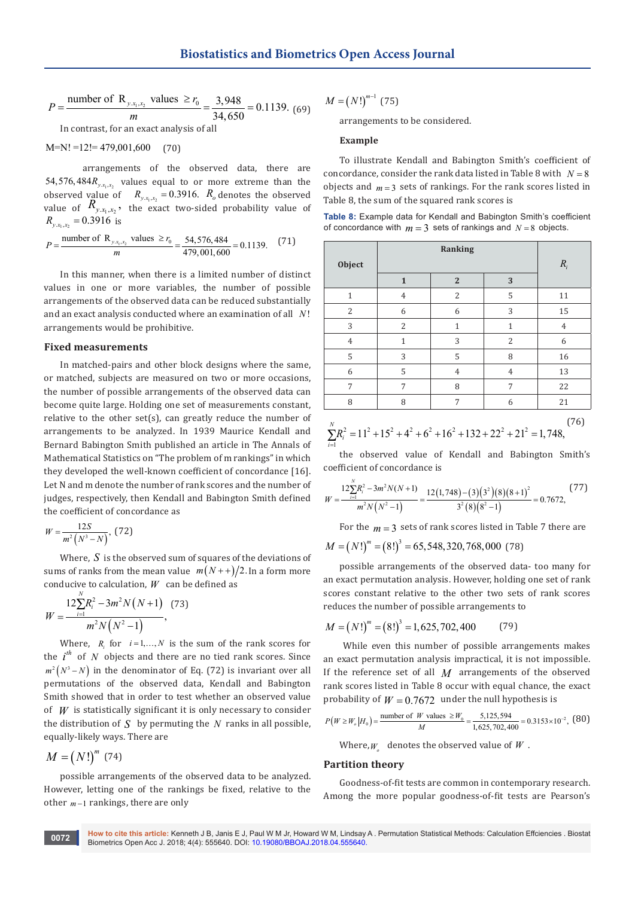$$
P = \frac{\text{number of R}_{y.x_1.x_2} \text{ values } \ge r_0}{m} = \frac{3,948}{34,650} = 0.1139. \text{ (69)}
$$
  
In contrast for an exact analysis of all

 $M=N! = 12! = 479,001,600$  (70)

arrangements of the observed data, there are 54,576,484 $R_{v.x.x}$  values equal to or more extreme than the observed value of  $R_{y.x_1,x_2} = 0.3916$ .  $R_o$  denotes the observed value of  $R_{y.x_1,x_2}$ , the exact two-sided probability value of  $R_{y.x_1, x_2} = 0.3916$  is

$$
P = \frac{\text{number of R}_{y.x_1.x_2} \text{ values } \ge r_0}{m} = \frac{54,576,484}{479,001,600} = 0.1139. \tag{71}
$$

In this manner, when there is a limited number of distinct values in one or more variables, the number of possible arrangements of the observed data can be reduced substantially and an exact analysis conducted where an examination of all *N*! arrangements would be prohibitive.

#### **Fixed measurements**

In matched-pairs and other block designs where the same, or matched, subjects are measured on two or more occasions, the number of possible arrangements of the observed data can become quite large. Holding one set of measurements constant, relative to the other set(s), can greatly reduce the number of arrangements to be analyzed. In 1939 Maurice Kendall and Bernard Babington Smith published an article in The Annals of Mathematical Statistics on "The problem of m rankings" in which they developed the well-known coefficient of concordance [16]. Let N and m denote the number of rank scores and the number of judges, respectively, then Kendall and Babington Smith defined the coefficient of concordance as

$$
W = \frac{12S}{m^2 (N^3 - N)}, \quad (72)
$$

Where, *S* is the observed sum of squares of the deviations of sums of ranks from the mean value  $m(N + 1)/2$ . In a form more conducive to calculation,  $W$  can be defined as

$$
W = \frac{12\sum_{i=1}^{N} R_i^2 - 3m^2 N (N+1)}{m^2 N (N^2 - 1)},
$$
 (73)

Where,  $R_i$  for  $i=1,...,N$  is the sum of the rank scores for the  $i^{th}$  of N objects and there are no tied rank scores. Since  $m^2(N^3 - N)$  in the denominator of Eq. (72) is invariant over all permutations of the observed data, Kendall and Babington Smith showed that in order to test whether an observed value of  $W$  is statistically significant it is only necessary to consider the distribution of  $S$  by permuting the  $N$  ranks in all possible, equally-likely ways. There are

$$
M = (N!)^m (74)
$$

possible arrangements of the observed data to be analyzed. However, letting one of the rankings be fixed, relative to the other *m* −1 rankings, there are only

 $M = (N!)^{m-1}$  (75)

arrangements to be considered.

#### **Example**

To illustrate Kendall and Babington Smith's coefficient of concordance, consider the rank data listed in Table 8 with  $N = 8$ objects and  $m = 3$  sets of rankings. For the rank scores listed in Table 8, the sum of the squared rank scores is

| Table 8: Example data for Kendall and Babington Smith's coefficient |
|---------------------------------------------------------------------|
| of concordance with $m=3$ sets of rankings and $N=8$ objects.       |

|                |                | Ranking        |                |                |
|----------------|----------------|----------------|----------------|----------------|
| Object         |                |                |                | $R_i$          |
|                | $\mathbf{1}$   | $\overline{2}$ | 3              |                |
| $\mathbf{1}$   | $\overline{4}$ | $\overline{2}$ | 5              | 11             |
| $\overline{2}$ | 6              | 6              | 3              | 15             |
| 3              | $\overline{2}$ | $\overline{1}$ | $\mathbf{1}$   | $\overline{4}$ |
| $\overline{4}$ | $\mathbf{1}$   | 3              | $\overline{2}$ | 6              |
| 5              | 3              | 5              | 8              | 16             |
| 6              | 5              | $\overline{4}$ | $\overline{4}$ | 13             |
| 7              | 7              | 8              | 7              | 22             |
| 8              | 8              | 7              | 6              | 21             |
| $\cal N$       |                |                |                | (76)           |

$$
\sum_{i=1}^{N} R_i^2 = 11^2 + 15^2 + 4^2 + 6^2 + 16^2 + 132 + 22^2 + 21^2 = 1,748,
$$

the observed value of Kendall and Babington Smith's coefficient of concordance is

$$
W = \frac{12\sum_{i=1}^{N} R_i^2 - 3m^2 N(N+1)}{m^2 N(N^2 - 1)} = \frac{12(1,748) - (3)(3^2)(8)(8+1)^2}{3^2 (8)(8^2 - 1)} = 0.7672,
$$
 (77)

For the  $m = 3$  sets of rank scores listed in Table 7 there are

$$
M = (N!)^m = (8!)^3 = 65,548,320,768,000
$$
 (78)

possible arrangements of the observed data- too many for an exact permutation analysis. However, holding one set of rank scores constant relative to the other two sets of rank scores reduces the number of possible arrangements to

$$
M = (N!)^m = (8!)^3 = 1,625,702,400
$$
 (79)

 While even this number of possible arrangements makes an exact permutation analysis impractical, it is not impossible. If the reference set of all *M* arrangements of the observed rank scores listed in Table 8 occur with equal chance, the exact probability of  $W = 0.7672$  under the null hypothesis is

$$
P(W \ge W_o | H_0) = \frac{\text{number of } W \text{ values } \ge W_0}{M} = \frac{5,125,594}{1,625,702,400} = 0.3153 \times 10^{-2},
$$
 (80)

Where,  $W_{\alpha}$  denotes the observed value of  $W$ .

## **Partition theory**

Goodness-of-fit tests are common in contemporary research. Among the more popular goodness-of-fit tests are Pearson's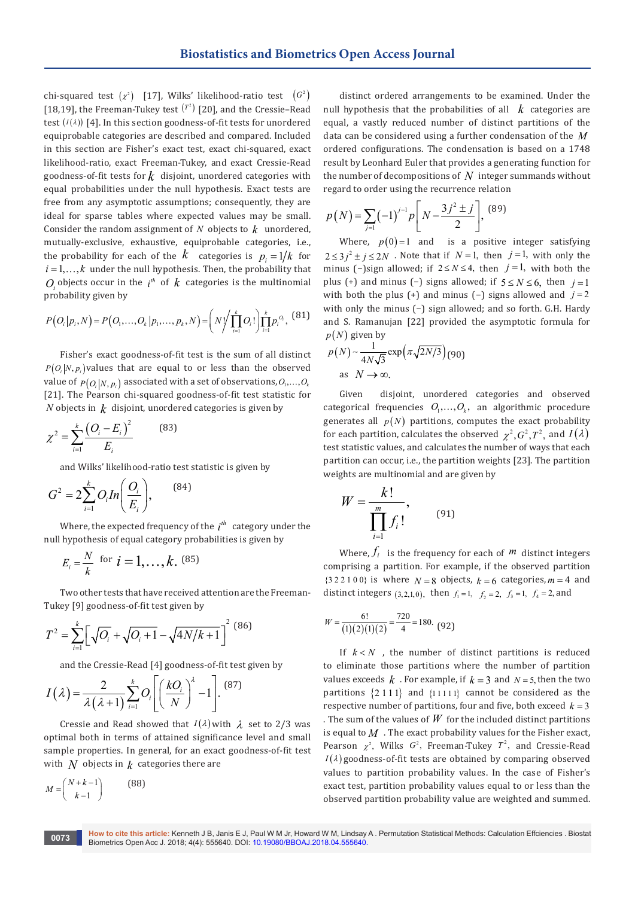chi-squared test  $(x^2)$  [17], Wilks' likelihood-ratio test  $(G^2)$ [18,19], the Freeman-Tukey test  $(T^2)$  [20], and the Cressie–Read test  $(I(\lambda))$  [4]. In this section goodness-of-fit tests for unordered equiprobable categories are described and compared. Included in this section are Fisher's exact test, exact chi-squared, exact likelihood-ratio, exact Freeman-Tukey, and exact Cressie-Read goodness-of-fit tests for  $k$  disjoint, unordered categories with equal probabilities under the null hypothesis. Exact tests are free from any asymptotic assumptions; consequently, they are ideal for sparse tables where expected values may be small. Consider the random assignment of  $N$  objects to  $k$  unordered, mutually-exclusive, exhaustive, equiprobable categories, i.e., the probability for each of the  $k$  categories is  $p_i = 1/k$  for  $i = 1, \ldots, k$  under the null hypothesis. Then, the probability that  $O_i$  objects occur in the  $i^h$  of  $k$  categories is the multinomial probability given by

$$
P\big(O_i|p_i,N\big) = P\big(O_1,\ldots,O_k|p_1,\ldots,p_k,N\big) = \bigg(N\bigg/\prod_{i=1}^k O_i!\bigg)\prod_{i=1}^k p_i^{O_i},\tag{81}
$$

Fisher's exact goodness-of-fit test is the sum of all distinct  $P(O_i|N, p_i)$  values that are equal to or less than the observed value of  $p(O_n|N, p)$  associated with a set of observations,  $O_1, ..., O_k$ [21]. The Pearson chi-squared goodness-of-fit test statistic for *N* objects in  $k$  disjoint, unordered categories is given by

$$
\chi^2 = \sum_{i=1}^k \frac{\left(O_i - E_i\right)^2}{E_i} \tag{83}
$$

and Wilks' likelihood-ratio test statistic is given by

$$
G^2 = 2\sum_{i=1}^k O_i In\bigg(\frac{O_i}{E_i}\bigg),\qquad(84)
$$

Where, the expected frequency of the  $i<sup>th</sup>$  category under the null hypothesis of equal category probabilities is given by

$$
E_i = \frac{N}{k}
$$
 for  $i = 1, ..., k$ . (85)

Two other tests that have received attention are the Freeman-Tukey [9] goodness-of-fit test given by

$$
T^{2} = \sum_{i=1}^{k} \left[ \sqrt{O_{i}} + \sqrt{O_{i} + 1} - \sqrt{4N/k + 1} \right]^{2} \tag{86}
$$

and the Cressie-Read [4] goodness-of-fit test given by

$$
I(\lambda) = \frac{2}{\lambda(\lambda+1)} \sum_{i=1}^{k} O_i \left[ \left( \frac{kO_i}{N} \right)^{\lambda} - 1 \right].
$$
 (87)

Cressie and Read showed that  $I(\lambda)$  with  $\lambda$  set to 2/3 was optimal both in terms of attained significance level and small sample properties. In general, for an exact goodness-of-fit test with  $N$  objects in  $k$  categories there are

$$
M = \begin{pmatrix} N + k - 1 \\ k - 1 \end{pmatrix} \tag{88}
$$

distinct ordered arrangements to be examined. Under the null hypothesis that the probabilities of all  $k$  categories are equal, a vastly reduced number of distinct partitions of the data can be considered using a further condensation of the *M* ordered configurations. The condensation is based on a 1748 result by Leonhard Euler that provides a generating function for the number of decompositions of *N* integer summands without regard to order using the recurrence relation

$$
p(N) = \sum_{j=1}^N (-1)^{j-1} p \left[ N - \frac{3j^2 \pm j}{2} \right],
$$
 (89)

Where,  $p(0)=1$  and is a positive integer satisfying  $2 \leq 3 j^2 \pm j \leq 2N$ . Note that if  $N=1$ , then  $j=1$ , with only the minus (-)sign allowed; if  $2 \le N \le 4$ , then  $j = 1$ , with both the plus (+) and minus (−) signs allowed; if  $5 \le N \le 6$ , then  $j=1$ with both the plus (+) and minus (−) signs allowed and *j* = 2 with only the minus (−) sign allowed; and so forth. G.H. Hardy and S. Ramanujan [22] provided the asymptotic formula for  $p(N)$  given by

$$
p(N) \sim \frac{1}{4N\sqrt{3}} \exp\left(\pi\sqrt{2N/3}\right) (90)
$$
  
as  $N \to \infty$ .

Given disjoint, unordered categories and observed categorical frequencies  $O_1, \ldots, O_k$ , an algorithmic procedure generates all  $p(N)$  partitions, computes the exact probability for each partition, calculates the observed  $\chi^2$ ,  $G^2$ ,  $T^2$ , and  $I(\lambda)$ test statistic values, and calculates the number of ways that each partition can occur, i.e., the partition weights [23]. The partition weights are multinomial and are given by

$$
W = \frac{k!}{\prod_{i=1}^{m} f_i!},\qquad(91)
$$

Where,  $f_i$  is the frequency for each of  $m$  distinct integers comprising a partition. For example, if the observed partition  ${322100}$  is where  $N=8$  objects,  $k=6$  categories,  $m=4$  and distinct integers (3, 2, 1, 0), then  $f_1 = 1$ ,  $f_2 = 2$ ,  $f_3 = 1$ ,  $f_4 = 2$ , and

$$
W = \frac{6!}{(1)(2)(1)(2)} = \frac{720}{4} = 180. \tag{92}
$$

If  $k < N$ , the number of distinct partitions is reduced to eliminate those partitions where the number of partition values exceeds  $k$ . For example, if  $k = 3$  and  $N = 5$ , then the two partitions  $\{2\ 1\ 1\}$  and  $\{1\ 1\ 1\ 1\}$  cannot be considered as the respective number of partitions, four and five, both exceed  $k = 3$ . The sum of the values of  $W$  for the included distinct partitions is equal to  $M$ . The exact probability values for the Fisher exact, Pearson  $\chi^2$ , Wilks  $G^2$ , Freeman-Tukey  $T^2$ , and Cressie-Read  $I(\lambda)$  goodness-of-fit tests are obtained by comparing observed values to partition probability values. In the case of Fisher's exact test, partition probability values equal to or less than the observed partition probability value are weighted and summed.

**How to cite this article:** Kenneth J B, Janis E J, Paul W M Jr, Howard W M, Lindsay A . Permutation Statistical Methods: Calculation Effciencies . Biostat Biometrics Open Acc J. 2018; 4(4): 555640. DOI: [10.19080/BBOAJ.2018.04.555640.](http://dx.doi.org/10.19080/BBOAJ.2017.04.555640)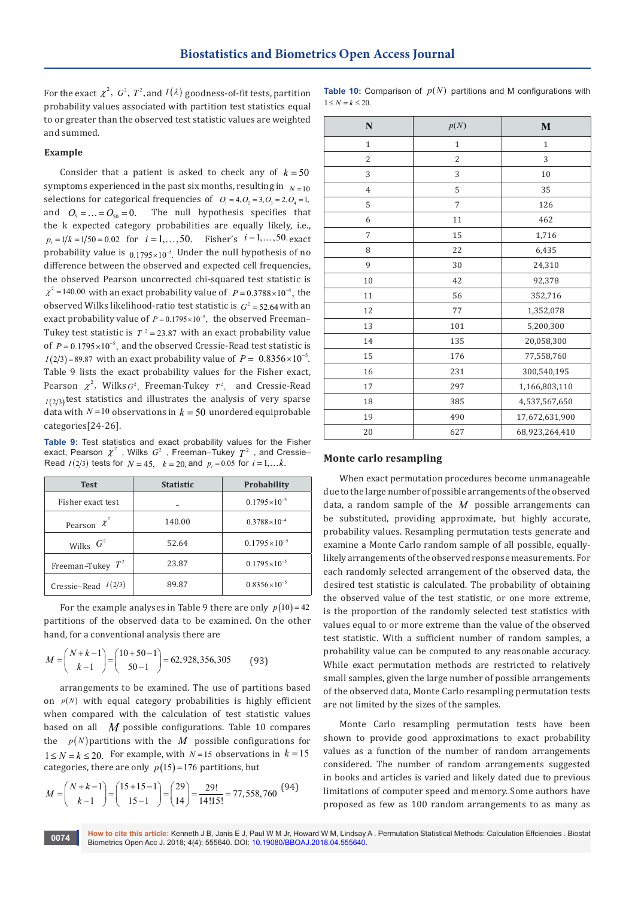For the exact  $\chi^2$ ,  $G^2$ ,  $T^2$ , and  $I(\lambda)$  goodness-of-fit tests, partition probability values associated with partition test statistics equal to or greater than the observed test statistic values are weighted and summed.

## **Example**

Consider that a patient is asked to check any of  $k = 50$ symptoms experienced in the past six months, resulting in  $N=10$ selections for categorical frequencies of  $O_1 = 4, O_2 = 3, O_3 = 2, O_4 = 1$ , and  $O_5 = ... = O_{50} = 0$ . The null hypothesis specifies that the k expected category probabilities are equally likely, i.e.,  $p_i = 1/k = 1/50 = 0.02$  for  $i = 1, ..., 50$ . Fisher's  $i = 1, ..., 50$  exact probability value is  $0.1795 \times 10^{-5}$ . Under the null hypothesis of no difference between the observed and expected cell frequencies, the observed Pearson uncorrected chi-squared test statistic is  $\chi^2$  =140.00 with an exact probability value of  $P = 0.3788 \times 10^{-4}$ , the observed Wilks likelihood-ratio test statistic is  $G^2 = 52.64$  with an exact probability value of  $P = 0.1795 \times 10^{-5}$ , the observed Freeman– Tukey test statistic is  $T^2 = 23.87$  with an exact probability value of  $P = 0.1795 \times 10^{-5}$ , and the observed Cressie-Read test statistic is  $I(2/3) = 89.87$  with an exact probability value of  $P = 0.8356 \times 10^{-5}$ . Table 9 lists the exact probability values for the Fisher exact, Pearson  $\chi^2$ , Wilks  $G^2$ , Freeman-Tukey  $T^2$ , and Cressie-Read  $I(2/3)$  test statistics and illustrates the analysis of very sparse data with  $N = 10$  observations in  $k = 50$  unordered equiprobable categories[24-26].

**Table 9:** Test statistics and exact probability values for the Fisher exact, Pearson  $\chi^2$  , Wilks  $G^2$  , Freeman–Tukey  $T^2$  , and Cressie– Read *I*(2/3) tests for  $N = 45$ ,  $k = 20$  and  $p_i = 0.05$  for  $i = 1, ...k$ .

| <b>Test</b>           | <b>Statistic</b> | <b>Probability</b>    |
|-----------------------|------------------|-----------------------|
| Fisher exact test     |                  | $0.1795\times10^{-5}$ |
| Pearson $\chi^2$      | 140.00           | $0.3788\times10^{-4}$ |
| Wilks $G^2$           | 52.64            | $0.1795\times10^{-5}$ |
| Freeman-Tukey $T^2$   | 23.87            | $0.1795\times10^{-5}$ |
| Cressie-Read $I(2/3)$ | 89.87            | $0.8356\times10^{-5}$ |

For the example analyses in Table 9 there are only  $p(10) = 42$ partitions of the observed data to be examined. On the other hand, for a conventional analysis there are

$$
M = \binom{N+k-1}{k-1} = \binom{10+50-1}{50-1} = 62,928,356,305
$$
 (93)

arrangements to be examined. The use of partitions based on  $p(N)$  with equal category probabilities is highly efficient when compared with the calculation of test statistic values based on all *M* possible configurations. Table 10 compares the  $p(N)$  partitions with the *M* possible configurations for  $1 < N = k < 20$ . For example, with  $N = 15$  observations in  $k = 15$ categories, there are only  $p(15) = 176$  partitions, but

$$
M = \binom{N+k-1}{k-1} = \binom{15+15-1}{15-1} = \binom{29}{14} = \frac{29!}{14!15!} = 77,558,760
$$
 (94)

|                          |  |  | <b>Table 10:</b> Comparison of $p(N)$ partitions and M configurations with |  |
|--------------------------|--|--|----------------------------------------------------------------------------|--|
| $1 \leq N = k \leq 20$ . |  |  |                                                                            |  |

| $\mathbf N$    | p(N)           | $\bf{M}$       |  |
|----------------|----------------|----------------|--|
| $\mathbf{1}$   | $\mathbf{1}$   | $\mathbf{1}$   |  |
| $\overline{2}$ | $\overline{2}$ | 3              |  |
| 3              | 3              | $10\,$         |  |
| $\overline{4}$ | 5              | 35             |  |
| 5              | $\overline{7}$ | 126            |  |
| 6              | 11             | 462            |  |
| 7              | 15             | 1,716          |  |
| 8              | 22             | 6,435          |  |
| 9              | 30             | 24,310         |  |
| 10             | 42             | 92,378         |  |
| 11             | 56             | 352,716        |  |
| 12             | 77             | 1,352,078      |  |
| 13             | 101            | 5,200,300      |  |
| 14             | 135            | 20,058,300     |  |
| 15             | 176            | 77,558,760     |  |
| 16             | 231            | 300,540,195    |  |
| $17\,$         | 297            | 1,166,803,110  |  |
| 18             | 385            | 4,537,567,650  |  |
| 19             | 490            | 17,672,631,900 |  |
| 20             | 627            | 68,923,264,410 |  |

#### **Monte carlo resampling**

When exact permutation procedures become unmanageable due to the large number of possible arrangements of the observed data, a random sample of the *M* possible arrangements can be substituted, providing approximate, but highly accurate, probability values. Resampling permutation tests generate and examine a Monte Carlo random sample of all possible, equallylikely arrangements of the observed response measurements. For each randomly selected arrangement of the observed data, the desired test statistic is calculated. The probability of obtaining the observed value of the test statistic, or one more extreme, is the proportion of the randomly selected test statistics with values equal to or more extreme than the value of the observed test statistic. With a sufficient number of random samples, a probability value can be computed to any reasonable accuracy. While exact permutation methods are restricted to relatively small samples, given the large number of possible arrangements of the observed data, Monte Carlo resampling permutation tests are not limited by the sizes of the samples.

Monte Carlo resampling permutation tests have been shown to provide good approximations to exact probability values as a function of the number of random arrangements considered. The number of random arrangements suggested in books and articles is varied and likely dated due to previous limitations of computer speed and memory. Some authors have proposed as few as 100 random arrangements to as many as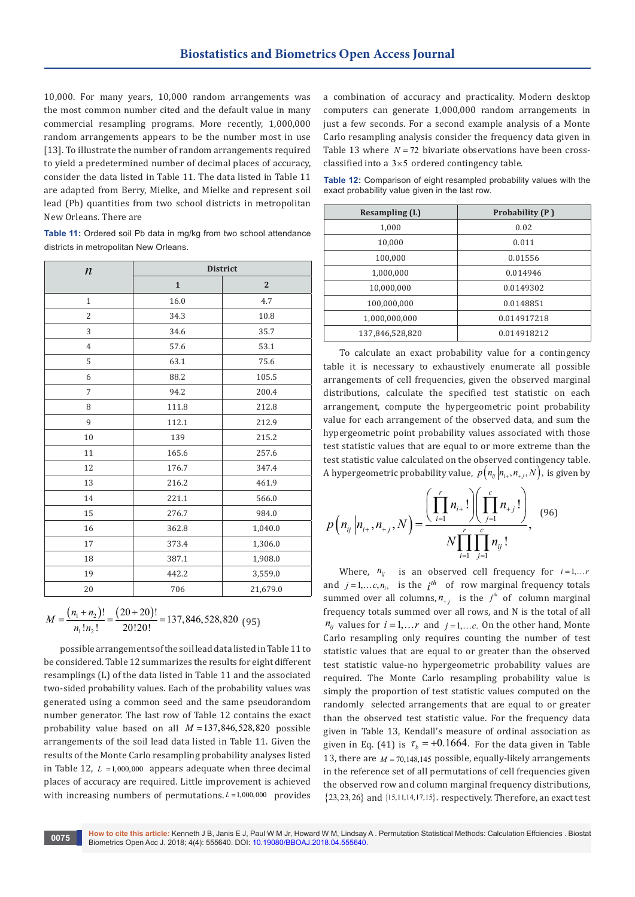10,000. For many years, 10,000 random arrangements was the most common number cited and the default value in many commercial resampling programs. More recently, 1,000,000 random arrangements appears to be the number most in use [13]. To illustrate the number of random arrangements required to yield a predetermined number of decimal places of accuracy, consider the data listed in Table 11. The data listed in Table 11 are adapted from Berry, Mielke, and Mielke and represent soil lead (Pb) quantities from two school districts in metropolitan New Orleans. There are

**Table 11:** Ordered soil Pb data in mg/kg from two school attendance districts in metropolitan New Orleans.

| $\boldsymbol{n}$ | <b>District</b> |                |  |  |
|------------------|-----------------|----------------|--|--|
|                  | $\mathbf{1}$    | $\overline{2}$ |  |  |
| $\mathbf{1}$     | 16.0            | 4.7            |  |  |
| $\overline{2}$   | 34.3            | 10.8           |  |  |
| 3                | 34.6            | 35.7           |  |  |
| $\overline{4}$   | 57.6            | 53.1           |  |  |
| 5                | 63.1            | 75.6           |  |  |
| 6                | 88.2            | 105.5          |  |  |
| 7                | 94.2            | 200.4          |  |  |
| 8                | 111.8           | 212.8          |  |  |
| 9                | 112.1           | 212.9          |  |  |
| 10               | 139             | 215.2          |  |  |
| 11               | 165.6           | 257.6          |  |  |
| 12               | 176.7           | 347.4          |  |  |
| 13               | 216.2           | 461.9          |  |  |
| 14               | 221.1           | 566.0          |  |  |
| 15               | 276.7           | 984.0          |  |  |
| 16               | 362.8           | 1,040.0        |  |  |
| 17               | 373.4           | 1,306.0        |  |  |
| 18               | 387.1           | 1,908.0        |  |  |
| 19               | 442.2           | 3,559.0        |  |  |
| 20               | 706             | 21,679.0       |  |  |

 $(n_1 + n_2)!$   $(20 + 20)$  $1 \cdot \frac{1}{2}$  $M = \frac{(n_1 + n_2)!}{n_1! n_2!} = \frac{(20 + 20)!}{20!20!} = 137,846,528,820$  (95)

possible arrangements of the soil lead data listed in Table 11 to be considered. Table 12 summarizes the results for eight different resamplings (L) of the data listed in Table 11 and the associated two-sided probability values. Each of the probability values was generated using a common seed and the same pseudorandom number generator. The last row of Table 12 contains the exact probability value based on all *M* =137,846,528,820 possible arrangements of the soil lead data listed in Table 11. Given the results of the Monte Carlo resampling probability analyses listed in Table 12,  $L = 1,000,000$  appears adequate when three decimal places of accuracy are required. Little improvement is achieved with increasing numbers of permutations.  $L = 1,000,000$  provides

a combination of accuracy and practicality. Modern desktop computers can generate 1,000,000 random arrangements in just a few seconds. For a second example analysis of a Monte Carlo resampling analysis consider the frequency data given in Table 13 where  $N = 72$  bivariate observations have been crossclassified into a  $3 \times 5$  ordered contingency table.

**Table 12:** Comparison of eight resampled probability values with the exact probability value given in the last row.

| <b>Resampling (L)</b> | Probability (P) |  |  |
|-----------------------|-----------------|--|--|
| 1,000                 | 0.02            |  |  |
| 10,000                | 0.011           |  |  |
| 100,000               | 0.01556         |  |  |
| 1,000,000             | 0.014946        |  |  |
| 10,000,000            | 0.0149302       |  |  |
| 100,000,000           | 0.0148851       |  |  |
| 1,000,000,000         | 0.014917218     |  |  |
| 137,846,528,820       | 0.014918212     |  |  |

To calculate an exact probability value for a contingency table it is necessary to exhaustively enumerate all possible arrangements of cell frequencies, given the observed marginal distributions, calculate the specified test statistic on each arrangement, compute the hypergeometric point probability value for each arrangement of the observed data, and sum the hypergeometric point probability values associated with those test statistic values that are equal to or more extreme than the test statistic value calculated on the observed contingency table. A hypergeometric probability value,  $p(n_{ij}|n_{i+}, n_{+j}, N)$ , is given by

$$
p\left(n_{ij}|n_{i+},n_{+j},N\right) = \frac{\left(\prod_{i=1}^{r}n_{i+}!\right)\left(\prod_{j=1}^{c}n_{+j}!\right)}{N\prod_{i=1}^{r}\prod_{j=1}^{c}n_{ij}!},\tag{96}
$$

Where,  $n_{ij}$  is an observed cell frequency for  $i=1,...r$ and  $j = 1, \dots, n_{i+}$  is the  $i^{th}$  of row marginal frequency totals summed over all columns,  $n_{+j}$  is the  $j^h$  of column marginal frequency totals summed over all rows, and N is the total of all  $n_{ij}$  values for  $i = 1, \ldots r$  and  $j = 1, \ldots c$ . On the other hand, Monte Carlo resampling only requires counting the number of test statistic values that are equal to or greater than the observed test statistic value-no hypergeometric probability values are required. The Monte Carlo resampling probability value is simply the proportion of test statistic values computed on the randomly selected arrangements that are equal to or greater than the observed test statistic value. For the frequency data given in Table 13, Kendall's measure of ordinal association as given in Eq. (41) is  $\tau_b = +0.1664$ . For the data given in Table 13, there are  $M = 70,148,145$  possible, equally-likely arrangements in the reference set of all permutations of cell frequencies given the observed row and column marginal frequency distributions,  ${23, 23, 26}$  and  ${15, 11, 14, 17, 15}$ , respectively. Therefore, an exact test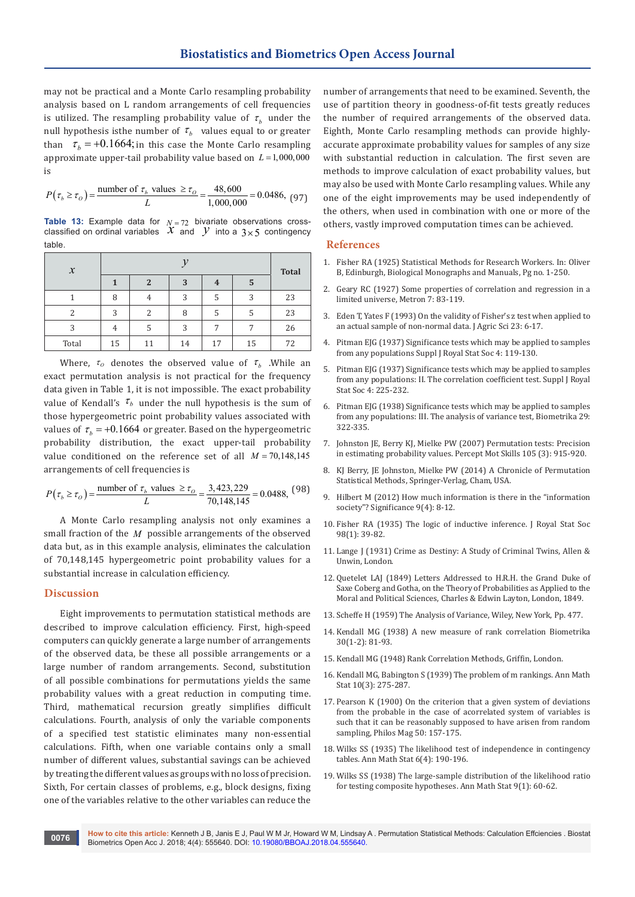may not be practical and a Monte Carlo resampling probability analysis based on L random arrangements of cell frequencies is utilized. The resampling probability value of  $\tau_h$  under the null hypothesis isthe number of  $\tau_b$  values equal to or greater than  $\tau_b = +0.1664$ ; *in this case the Monte Carlo resampling* approximate upper-tail probability value based on  $L = 1,000,000$ is

$$
P(\tau_b \ge \tau_o) = \frac{\text{number of } \tau_b \text{ values } \ge \tau_o}{L} = \frac{48,600}{1,000,000} = 0.0486, (97)
$$

**Table 13:** Example data for  $N = 72$  bivariate observations cross-<br>classified on ordinal variables  $X$  and  $Y$  into a  $3 \times 5$  contingency table.

| $\mathcal{X}$ |    |    |    |    |    |              |
|---------------|----|----|----|----|----|--------------|
|               |    | 2  | 3  | 4  | 5  | <b>Total</b> |
|               | 8  | 4  | 3  | 5  | 3  | 23           |
| 2             | 3  | 2  | 8  | 5  | 5  | 23           |
| 3             | 4  | 5  | 3  | 7  | 7  | 26           |
| Total         | 15 | 11 | 14 | 17 | 15 | 72           |

Where,  $\tau_o$  denotes the observed value of  $\tau_b$  .While an exact permutation analysis is not practical for the frequency data given in Table 1, it is not impossible. The exact probability value of Kendall's  $\tau_b$  under the null hypothesis is the sum of those hypergeometric point probability values associated with values of  $\tau_h = +0.1664$  or greater. Based on the hypergeometric probability distribution, the exact upper-tail probability value conditioned on the reference set of all *M* = 70,148,145 arrangements of cell frequencies is

$$
P(\tau_b \ge \tau_o) = \frac{\text{number of } \tau_b \text{ values } \ge \tau_o}{L} = \frac{3,423,229}{70,148,145} = 0.0488, \frac{(98)}{}
$$

A Monte Carlo resampling analysis not only examines a small fraction of the *M* possible arrangements of the observed data but, as in this example analysis, eliminates the calculation of 70,148,145 hypergeometric point probability values for a substantial increase in calculation efficiency.

#### **Discussion**

Eight improvements to permutation statistical methods are described to improve calculation efficiency. First, high-speed computers can quickly generate a large number of arrangements of the observed data, be these all possible arrangements or a large number of random arrangements. Second, substitution of all possible combinations for permutations yields the same probability values with a great reduction in computing time. Third, mathematical recursion greatly simplifies difficult calculations. Fourth, analysis of only the variable components of a specified test statistic eliminates many non-essential calculations. Fifth, when one variable contains only a small number of different values, substantial savings can be achieved by treating the different values as groups with no loss of precision. Sixth, For certain classes of problems, e.g., block designs, fixing one of the variables relative to the other variables can reduce the

number of arrangements that need to be examined. Seventh, the use of partition theory in goodness-of-fit tests greatly reduces the number of required arrangements of the observed data. Eighth, Monte Carlo resampling methods can provide highlyaccurate approximate probability values for samples of any size with substantial reduction in calculation. The first seven are methods to improve calculation of exact probability values, but may also be used with Monte Carlo resampling values. While any one of the eight improvements may be used independently of the others, when used in combination with one or more of the others, vastly improved computation times can be achieved.

#### **References**

- 1. [Fisher RA \(1925\) Statistical Methods for Research Workers. In: Oliver](http://www.haghish.com/resources/materials/Statistical_Methods_for_Research_Workers.pdf)  [B, Edinburgh, Biological Monographs and Manuals, Pg no. 1-250.](http://www.haghish.com/resources/materials/Statistical_Methods_for_Research_Workers.pdf)
- 2. Geary RC (1927) Some properties of correlation and regression in a limited universe, Metron 7: 83-119.
- 3. Eden T, Yates F (1993) On the validity of Fisher's z test when applied to an actual sample of non-normal data. J Agric Sci 23: 6-17.
- 4. Pitman EJG (1937) Significance tests which may be applied to samples from any populations Suppl J Royal Stat Soc 4: 119-130.
- 5. Pitman EJG (1937) Significance tests which may be applied to samples from any populations: II. The correlation coefficient test. Suppl J Royal Stat Soc 4: 225-232.
- 6. Pitman EJG (1938) Significance tests which may be applied to samples from any populations: III. The analysis of variance test, Biometrika 29: 322-335.
- 7. [Johnston JE, Berry KJ, Mielke PW \(2007\) Permutation tests: Precision](https://www.ncbi.nlm.nih.gov/pubmed/18229545)  [in estimating probability values. Percept Mot Skills 105 \(3\): 915-920.](https://www.ncbi.nlm.nih.gov/pubmed/18229545)
- 8. [KJ Berry, JE Johnston, Mielke PW \(2014\) A Chronicle of Permutation](http://www.springer.com/in/book/9783319027432)  [Statistical Methods, Springer-Verlag, Cham, USA.](http://www.springer.com/in/book/9783319027432)
- 9. [Hilbert M \(2012\) How much information is there in the "information](http://onlinelibrary.wiley.com/doi/10.1111/j.1740-9713.2012.00584.x/abstract)  [society"? Significance 9\(4\): 8-12.](http://onlinelibrary.wiley.com/doi/10.1111/j.1740-9713.2012.00584.x/abstract)
- 10. Fisher RA (1935) The logic of inductive inference. J Royal Stat Soc 98(1): 39-82.
- 11. Lange J (1931) Crime as Destiny: A Study of Criminal Twins, Allen & Unwin, London.
- 12. Quetelet LAJ (1849) Letters Addressed to H.R.H. the Grand Duke of Saxe Coberg and Gotha, on the Theory of Probabilities as Applied to the Moral and Political Sciences, Charles & Edwin Layton, London, 1849.
- 13. [Scheffe H \(1959\) The Analysis of Variance, Wiley, New York, Pp. 477.](https://www.wiley.com/en-us/The+Analysis+of+Variance-p-9780471345053)
- 14. [Kendall MG \(1938\) A new measure of rank correlation Biometrika](https://academic.oup.com/biomet/article-abstract/30/1-2/81/176907?redirectedFrom=fulltext)  [30\(1-2\): 81-93.](https://academic.oup.com/biomet/article-abstract/30/1-2/81/176907?redirectedFrom=fulltext)
- 15. Kendall MG (1948) Rank Correlation Methods, Griffin, London.
- 16. [Kendall MG, Babington S \(1939\) The problem of m rankings. Ann Math](https://projecteuclid.org/euclid.aoms/1177732186)  [Stat 10\(3\): 275-287.](https://projecteuclid.org/euclid.aoms/1177732186)
- 17. [Pearson K \(1900\) On the criterion that a given system of deviations](http://www.tandfonline.com/doi/abs/10.1080/14786440009463897)  [from the probable in the case of acorrelated system of variables is](http://www.tandfonline.com/doi/abs/10.1080/14786440009463897)  [such that it can be reasonably supposed to have arisen from random](http://www.tandfonline.com/doi/abs/10.1080/14786440009463897)  [sampling, Philos Mag 50: 157-175.](http://www.tandfonline.com/doi/abs/10.1080/14786440009463897)
- 18. [Wilks SS \(1935\) The likelihood test of independence in contingency](https://projecteuclid.org/euclid.aoms/1177732564)  [tables. Ann Math Stat 6\(4\): 190-196.](https://projecteuclid.org/euclid.aoms/1177732564)
- 19. [Wilks SS \(1938\) The large-sample distribution of the likelihood ratio](https://projecteuclid.org/euclid.aoms/1177732360)  [for testing composite hypotheses. Ann Math Stat 9\(1\): 60-62.](https://projecteuclid.org/euclid.aoms/1177732360)